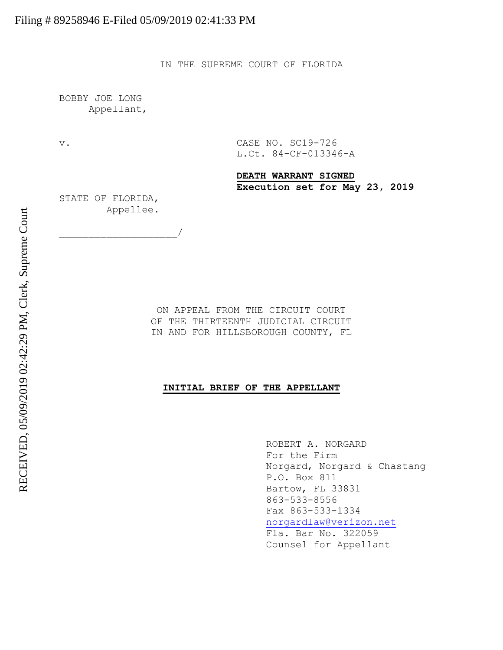IN THE SUPREME COURT OF FLORIDA

BOBBY JOE LONG Appellant,

v. CASE NO. SC19-726 L.Ct. 84-CF-013346-A

> **DEATH WARRANT SIGNED Execution set for May 23, 2019**

STATE OF FLORIDA, Appellee.

 $\overline{\phantom{a}}$ 

ON APPEAL FROM THE CIRCUIT COURT OF THE THIRTEENTH JUDICIAL CIRCUIT IN AND FOR HILLSBOROUGH COUNTY, FL

# **INITIAL BRIEF OF THE APPELLANT**

ROBERT A. NORGARD For the Firm Norgard, Norgard & Chastang P.O. Box 811 Bartow, FL 33831 863-533-8556 Fax 863-533-1334 [norgardlaw@verizon.net](mailto:norgardlaw@verizon.net) Fla. Bar No. 322059 Counsel for Appellant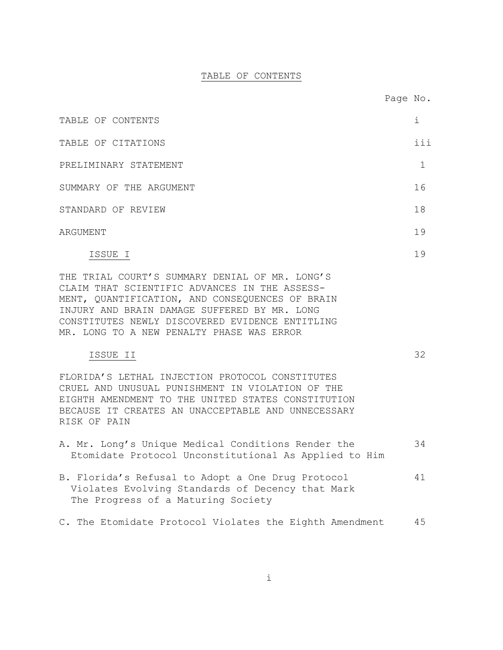# TABLE OF CONTENTS

| TABLE OF CONTENTS                                                                                                                                                                                                                                                                                  | i   |
|----------------------------------------------------------------------------------------------------------------------------------------------------------------------------------------------------------------------------------------------------------------------------------------------------|-----|
| TABLE OF CITATIONS                                                                                                                                                                                                                                                                                 | iii |
| PRELIMINARY STATEMENT                                                                                                                                                                                                                                                                              | 1   |
| SUMMARY OF THE ARGUMENT                                                                                                                                                                                                                                                                            | 16  |
| STANDARD OF REVIEW                                                                                                                                                                                                                                                                                 | 18  |
| ARGUMENT                                                                                                                                                                                                                                                                                           | 19  |
| ISSUE I                                                                                                                                                                                                                                                                                            | 19  |
| THE TRIAL COURT'S SUMMARY DENIAL OF MR. LONG'S<br>CLAIM THAT SCIENTIFIC ADVANCES IN THE ASSESS-<br>MENT, QUANTIFICATION, AND CONSEQUENCES OF BRAIN<br>INJURY AND BRAIN DAMAGE SUFFERED BY MR. LONG<br>CONSTITUTES NEWLY DISCOVERED EVIDENCE ENTITLING<br>MR. LONG TO A NEW PENALTY PHASE WAS ERROR |     |
| ISSUE II<br>FLORIDA'S LETHAL INJECTION PROTOCOL CONSTITUTES<br>CRUEL AND UNUSUAL PUNISHMENT IN VIOLATION OF THE<br>EIGHTH AMENDMENT TO THE UNITED STATES CONSTITUTION<br>BECAUSE IT CREATES AN UNACCEPTABLE AND UNNECESSARY<br>RISK OF PAIN                                                        | 32  |
| A. Mr. Long's Unique Medical Conditions Render the<br>Etomidate Protocol Unconstitutional As Applied to Him                                                                                                                                                                                        | 34  |
| B. Florida's Refusal to Adopt a One Drug Protocol<br>Violates Evolving Standards of Decency that Mark<br>The Progress of a Maturing Society                                                                                                                                                        | 41  |
| C. The Etomidate Protocol Violates the Eighth Amendment                                                                                                                                                                                                                                            | 45  |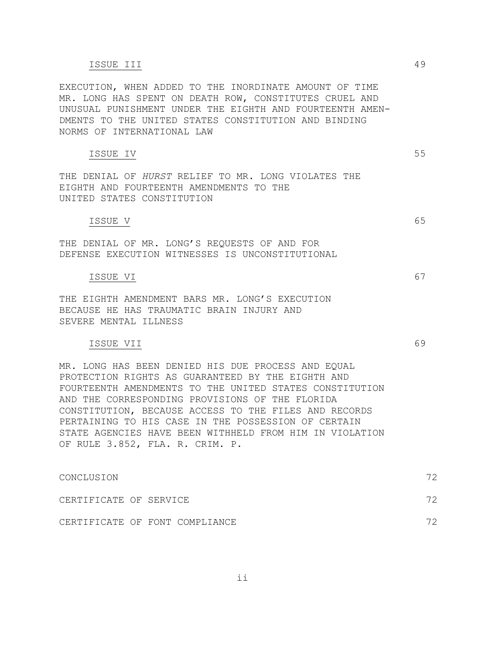### ISSUE III 49

EXECUTION, WHEN ADDED TO THE INORDINATE AMOUNT OF TIME MR. LONG HAS SPENT ON DEATH ROW, CONSTITUTES CRUEL AND UNUSUAL PUNISHMENT UNDER THE EIGHTH AND FOURTEENTH AMEN-DMENTS TO THE UNITED STATES CONSTITUTION AND BINDING NORMS OF INTERNATIONAL LAW

# ISSUE IV 55

THE DENIAL OF *HURST* RELIEF TO MR. LONG VIOLATES THE EIGHTH AND FOURTEENTH AMENDMENTS TO THE UNITED STATES CONSTITUTION

#### ISSUE V 65

THE DENIAL OF MR. LONG'S REQUESTS OF AND FOR DEFENSE EXECUTION WITNESSES IS UNCONSTITUTIONAL

### ISSUE VI 67

THE EIGHTH AMENDMENT BARS MR. LONG'S EXECUTION BECAUSE HE HAS TRAUMATIC BRAIN INJURY AND SEVERE MENTAL ILLNESS

# ISSUE VII 69

MR. LONG HAS BEEN DENIED HIS DUE PROCESS AND EQUAL PROTECTION RIGHTS AS GUARANTEED BY THE EIGHTH AND FOURTEENTH AMENDMENTS TO THE UNITED STATES CONSTITUTION AND THE CORRESPONDING PROVISIONS OF THE FLORIDA CONSTITUTION, BECAUSE ACCESS TO THE FILES AND RECORDS PERTAINING TO HIS CASE IN THE POSSESSION OF CERTAIN STATE AGENCIES HAVE BEEN WITHHELD FROM HIM IN VIOLATION OF RULE 3.852, FLA. R. CRIM. P.

| CONCLUSION             |  |                                | 72 |
|------------------------|--|--------------------------------|----|
| CERTIFICATE OF SERVICE |  |                                | 72 |
|                        |  | CERTIFICATE OF FONT COMPLIANCE | フク |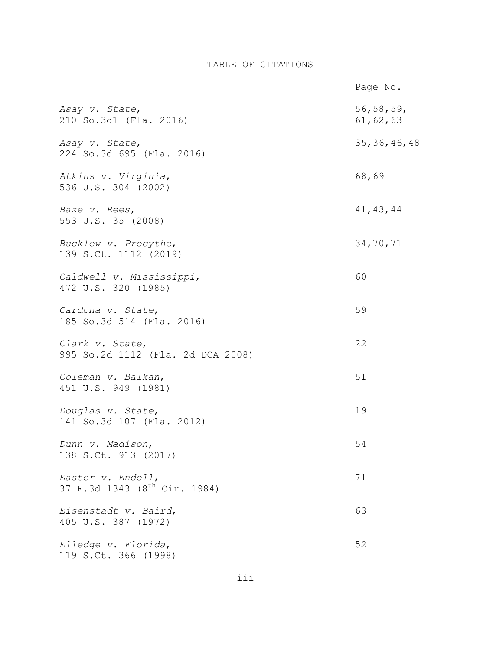# TABLE OF CITATIONS

|                                                               | Page No.                  |
|---------------------------------------------------------------|---------------------------|
| Asay v. State,<br>210 So.3d1 (Fla. 2016)                      | 56, 58, 59,<br>61, 62, 63 |
| Asay v. State,<br>224 So.3d 695 (Fla. 2016)                   | 35, 36, 46, 48            |
| Atkins v. Virginia,<br>536 U.S. 304 (2002)                    | 68,69                     |
| Baze v. Rees,<br>553 U.S. 35 (2008)                           | 41, 43, 44                |
| Bucklew v. Precythe,<br>139 S.Ct. 1112 (2019)                 | 34,70,71                  |
| Caldwell v. Mississippi,<br>472 U.S. 320 (1985)               | 60                        |
| Cardona v. State,<br>185 So.3d 514 (Fla. 2016)                | 59                        |
| Clark v. State,<br>995 So.2d 1112 (Fla. 2d DCA 2008)          | 22                        |
| Coleman v. Balkan,<br>451 U.S. 949 (1981)                     | 51                        |
| Douglas v. State,<br>141 So.3d 107 (Fla. 2012)                | 19                        |
| Dunn v. Madison,<br>138 S.Ct. 913 (2017)                      | 54                        |
| Easter v. Endell,<br>37 F.3d 1343 (8 <sup>th</sup> Cir. 1984) | 71                        |
| Eisenstadt v. Baird,<br>405 U.S. 387 (1972)                   | 63                        |
| Elledge v. Florida,<br>119 S.Ct. 366 (1998)                   | 52                        |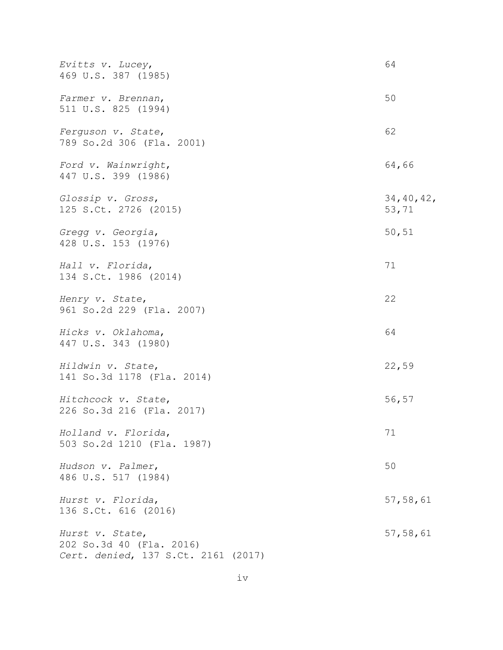| Evitts v. Lucey,<br>469 U.S. 387 (1985)                                            | 64                   |
|------------------------------------------------------------------------------------|----------------------|
| Farmer v. Brennan,<br>511 U.S. 825 (1994)                                          | 50                   |
| Ferguson v. State,<br>789 So.2d 306 (Fla. 2001)                                    | 62                   |
| Ford v. Wainwright,<br>447 U.S. 399 (1986)                                         | 64,66                |
| Glossip v. Gross,<br>125 S.Ct. 2726 (2015)                                         | 34, 40, 42,<br>53,71 |
| Gregg v. Georgia,<br>428 U.S. 153 (1976)                                           | 50,51                |
| Hall v. Florida,<br>134 S.Ct. 1986 (2014)                                          | 71                   |
| Henry v. State,<br>961 So.2d 229 (Fla. 2007)                                       | 22                   |
| Hicks v. Oklahoma,<br>447 U.S. 343 (1980)                                          | 64                   |
| Hildwin v. State,<br>141 So.3d 1178 (Fla. 2014)                                    | 22,59                |
| Hitchcock v. State,<br>226 So.3d 216 (Fla. 2017)                                   | 56,57                |
| Holland v. Florida,<br>503 So.2d 1210 (Fla. 1987)                                  | 71                   |
| Hudson v. Palmer,<br>486 U.S. 517 (1984)                                           | 50                   |
| Hurst v. Florida,<br>136 S.Ct. 616 (2016)                                          | 57, 58, 61           |
| Hurst v. State,<br>202 So.3d 40 (Fla. 2016)<br>Cert. denied, 137 S.Ct. 2161 (2017) | 57,58,61             |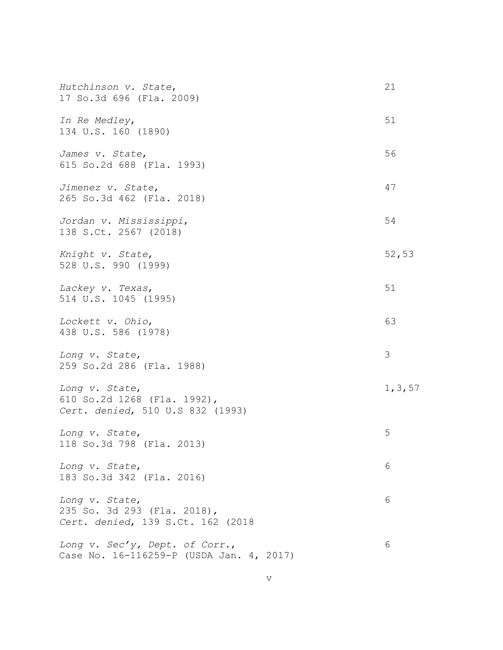| Hutchinson v. State,<br>17 So.3d 696 (Fla. 2009)                                   | 21       |
|------------------------------------------------------------------------------------|----------|
| In Re Medley,<br>134 U.S. 160 (1890)                                               | 51       |
| James v. State,<br>615 So.2d 688 (Fla. 1993)                                       | 56       |
| Jimenez v. State,<br>265 So.3d 462 (Fla. 2018)                                     | 47       |
| Jordan v. Mississippi,<br>138 S.Ct. 2567 (2018)                                    | 54       |
| Knight v. State,<br>528 U.S. 990 (1999)                                            | 52,53    |
| Lackey v. Texas,<br>514 U.S. 1045 (1995)                                           | 51       |
| Lockett v. Ohio,<br>438 U.S. 586 (1978)                                            | 63       |
| Long v. State,<br>259 So.2d 286 (Fla. 1988)                                        | 3        |
| Long v. State,<br>610 So.2d 1268 (Fla. 1992),<br>Cert. denied, 510 U.S 832 (1993)  | 1, 3, 57 |
| Long v. State,<br>118 So.3d 798 (Fla. 2013)                                        | 5        |
| Long v. State,<br>183 So.3d 342 (Fla. 2016)                                        | 6        |
| Long v. State,<br>235 So. 3d 293 (Fla. 2018),<br>Cert. denied, 139 S.Ct. 162 (2018 | 6        |
| Long v. Sec'y, Dept. of Corr.,<br>Case No. 16-116259-P (USDA Jan. 4, 2017)         | 6        |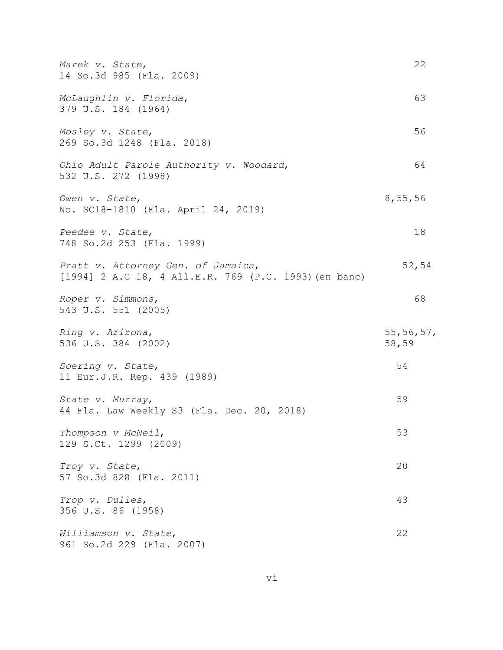| Marek v. State,<br>14 So.3d 985 (Fla. 2009)                                                 | 22                   |
|---------------------------------------------------------------------------------------------|----------------------|
| McLaughlin v. Florida,<br>379 U.S. 184 (1964)                                               | 63                   |
| Mosley v. State,<br>269 So.3d 1248 (Fla. 2018)                                              | 56                   |
| Ohio Adult Parole Authority v. Woodard,<br>532 U.S. 272 (1998)                              | 64                   |
| Owen v. State,<br>No. SC18-1810 (Fla. April 24, 2019)                                       | 8,55,56              |
| Peedee v. State,<br>748 So.2d 253 (Fla. 1999)                                               | 18                   |
| Pratt v. Attorney Gen. of Jamaica,<br>[1994] 2 A.C 18, 4 All.E.R. 769 (P.C. 1993) (en banc) | 52,54                |
| Roper v. Simmons,<br>543 U.S. 551 (2005)                                                    | 68                   |
| Ring v. Arizona,<br>536 U.S. 384 (2002)                                                     | 55, 56, 57,<br>58,59 |
| Soering v. State,<br>11 Eur.J.R. Rep. 439 (1989)                                            | 54                   |
| State v. Murray,<br>44 Fla. Law Weekly S3 (Fla. Dec. 20, 2018)                              | 59                   |
| Thompson v McNeil,<br>129 S.Ct. 1299 (2009)                                                 | 53                   |
| Troy v. State,<br>57 So.3d 828 (Fla. 2011)                                                  | 20                   |
| Trop v. Dulles,<br>356 U.S. 86 (1958)                                                       | 43                   |
| Williamson v. State,<br>961 So.2d 229 (Fla. 2007)                                           | 22                   |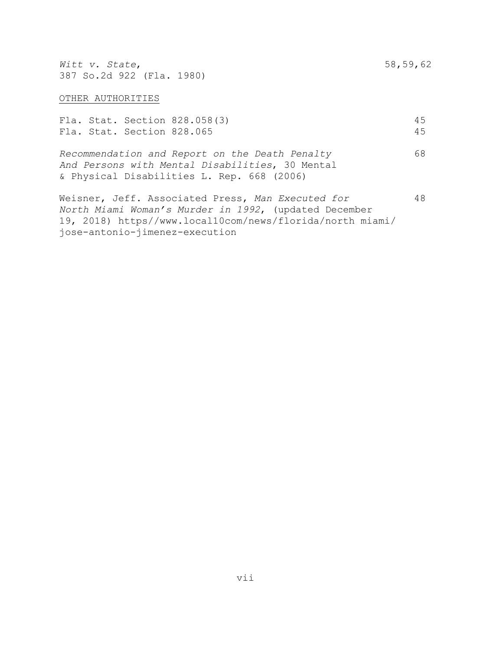*Witt v. State*, 58,59,62 387 So.2d 922 (Fla. 1980)

### OTHER AUTHORITIES

|  | Fla. Stat. Section 828.065 | Fla. Stat. Section 828.058(3)                                                                                                                   | 4.5<br>4.5 |
|--|----------------------------|-------------------------------------------------------------------------------------------------------------------------------------------------|------------|
|  |                            | Recommendation and Report on the Death Penalty<br>And Persons with Mental Disabilities, 30 Mental<br>& Physical Disabilities L. Rep. 668 (2006) | 68         |

Weisner, Jeff. Associated Press, Man Executed for 48 *North Miami Woman's Murder in 1992*, (updated December 19, 2018) https//www.local10com/news/florida/north miami/ jose-antonio-jimenez-execution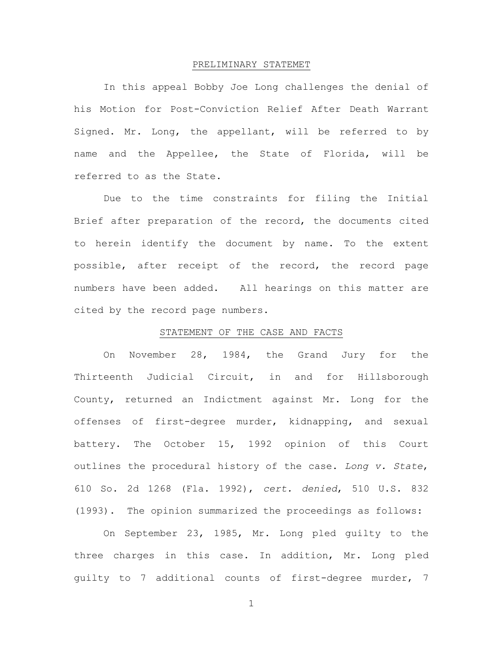#### PRELIMINARY STATEMET

In this appeal Bobby Joe Long challenges the denial of his Motion for Post-Conviction Relief After Death Warrant Signed. Mr. Long, the appellant, will be referred to by name and the Appellee, the State of Florida, will be referred to as the State.

Due to the time constraints for filing the Initial Brief after preparation of the record, the documents cited to herein identify the document by name. To the extent possible, after receipt of the record, the record page numbers have been added. All hearings on this matter are cited by the record page numbers.

### STATEMENT OF THE CASE AND FACTS

On November 28, 1984, the Grand Jury for the Thirteenth Judicial Circuit, in and for Hillsborough County, returned an Indictment against Mr. Long for the offenses of first-degree murder, kidnapping, and sexual battery. The October 15, 1992 opinion of this Court outlines the procedural history of the case. *Long v. State*, 610 So. 2d 1268 (Fla. 1992), *cert. denied*, 510 U.S. 832 (1993). The opinion summarized the proceedings as follows:

On September 23, 1985, Mr. Long pled guilty to the three charges in this case. In addition, Mr. Long pled guilty to 7 additional counts of first-degree murder, 7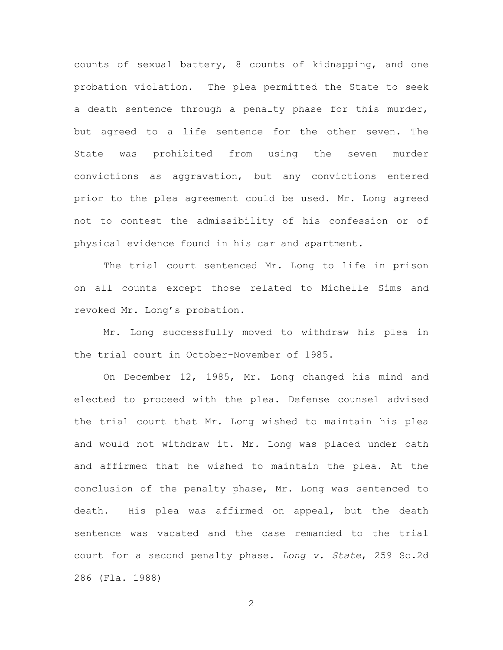counts of sexual battery, 8 counts of kidnapping, and one probation violation. The plea permitted the State to seek a death sentence through a penalty phase for this murder, but agreed to a life sentence for the other seven. The State was prohibited from using the seven murder convictions as aggravation, but any convictions entered prior to the plea agreement could be used. Mr. Long agreed not to contest the admissibility of his confession or of physical evidence found in his car and apartment.

The trial court sentenced Mr. Long to life in prison on all counts except those related to Michelle Sims and revoked Mr. Long's probation.

Mr. Long successfully moved to withdraw his plea in the trial court in October-November of 1985.

On December 12, 1985, Mr. Long changed his mind and elected to proceed with the plea. Defense counsel advised the trial court that Mr. Long wished to maintain his plea and would not withdraw it. Mr. Long was placed under oath and affirmed that he wished to maintain the plea. At the conclusion of the penalty phase, Mr. Long was sentenced to death. His plea was affirmed on appeal, but the death sentence was vacated and the case remanded to the trial court for a second penalty phase. *Long v. State*, 259 So.2d 286 (Fla. 1988)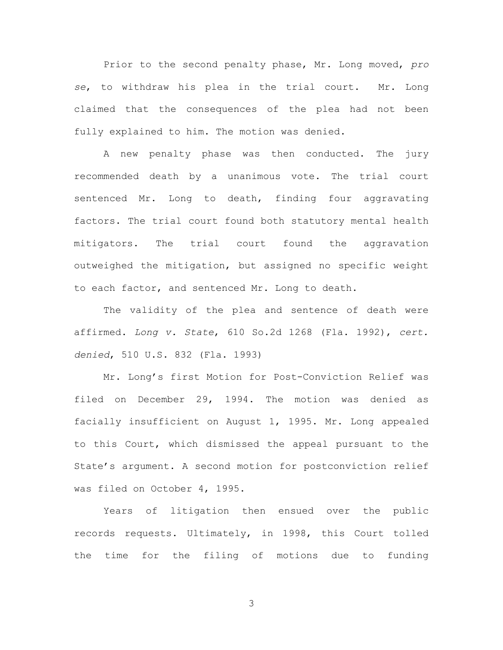Prior to the second penalty phase, Mr. Long moved, *pro se*, to withdraw his plea in the trial court. Mr. Long claimed that the consequences of the plea had not been fully explained to him. The motion was denied.

A new penalty phase was then conducted. The jury recommended death by a unanimous vote. The trial court sentenced Mr. Long to death, finding four aggravating factors. The trial court found both statutory mental health mitigators. The trial court found the aggravation outweighed the mitigation, but assigned no specific weight to each factor, and sentenced Mr. Long to death.

The validity of the plea and sentence of death were affirmed. *Long v. State*, 610 So.2d 1268 (Fla. 1992), *cert. denied*, 510 U.S. 832 (Fla. 1993)

Mr. Long's first Motion for Post-Conviction Relief was filed on December 29, 1994. The motion was denied as facially insufficient on August 1, 1995. Mr. Long appealed to this Court, which dismissed the appeal pursuant to the State's argument. A second motion for postconviction relief was filed on October 4, 1995.

Years of litigation then ensued over the public records requests. Ultimately, in 1998, this Court tolled the time for the filing of motions due to funding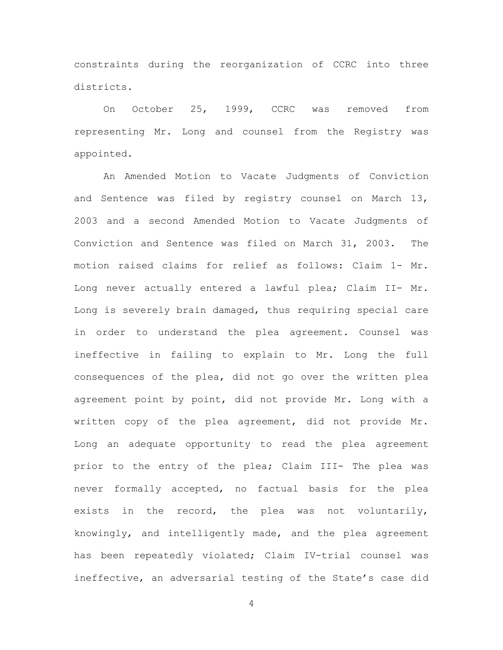constraints during the reorganization of CCRC into three districts.

On October 25, 1999, CCRC was removed from representing Mr. Long and counsel from the Registry was appointed.

An Amended Motion to Vacate Judgments of Conviction and Sentence was filed by registry counsel on March 13, 2003 and a second Amended Motion to Vacate Judgments of Conviction and Sentence was filed on March 31, 2003. The motion raised claims for relief as follows: Claim 1- Mr. Long never actually entered a lawful plea; Claim II- Mr. Long is severely brain damaged, thus requiring special care in order to understand the plea agreement. Counsel was ineffective in failing to explain to Mr. Long the full consequences of the plea, did not go over the written plea agreement point by point, did not provide Mr. Long with a written copy of the plea agreement, did not provide Mr. Long an adequate opportunity to read the plea agreement prior to the entry of the plea; Claim III- The plea was never formally accepted, no factual basis for the plea exists in the record, the plea was not voluntarily, knowingly, and intelligently made, and the plea agreement has been repeatedly violated; Claim IV-trial counsel was ineffective, an adversarial testing of the State's case did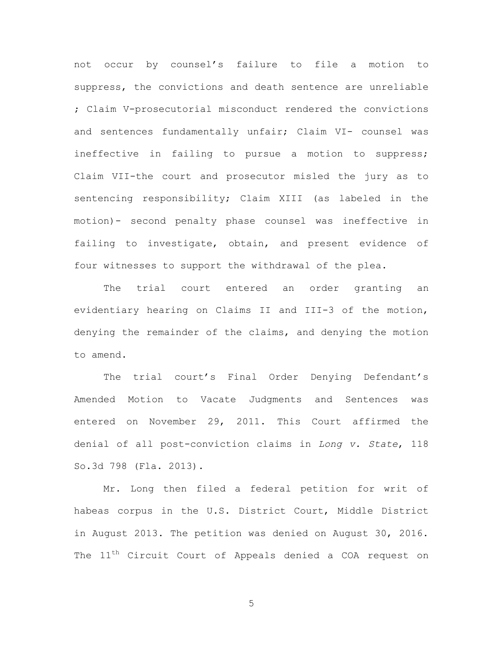not occur by counsel's failure to file a motion to suppress, the convictions and death sentence are unreliable ; Claim V-prosecutorial misconduct rendered the convictions and sentences fundamentally unfair; Claim VI- counsel was ineffective in failing to pursue a motion to suppress; Claim VII-the court and prosecutor misled the jury as to sentencing responsibility; Claim XIII (as labeled in the motion)- second penalty phase counsel was ineffective in failing to investigate, obtain, and present evidence of four witnesses to support the withdrawal of the plea.

The trial court entered an order granting an evidentiary hearing on Claims II and III-3 of the motion, denying the remainder of the claims, and denying the motion to amend.

The trial court's Final Order Denying Defendant's Amended Motion to Vacate Judgments and Sentences was entered on November 29, 2011. This Court affirmed the denial of all post-conviction claims in *Long v. State*, 118 So.3d 798 (Fla. 2013).

Mr. Long then filed a federal petition for writ of habeas corpus in the U.S. District Court, Middle District in August 2013. The petition was denied on August 30, 2016. The 11<sup>th</sup> Circuit Court of Appeals denied a COA request on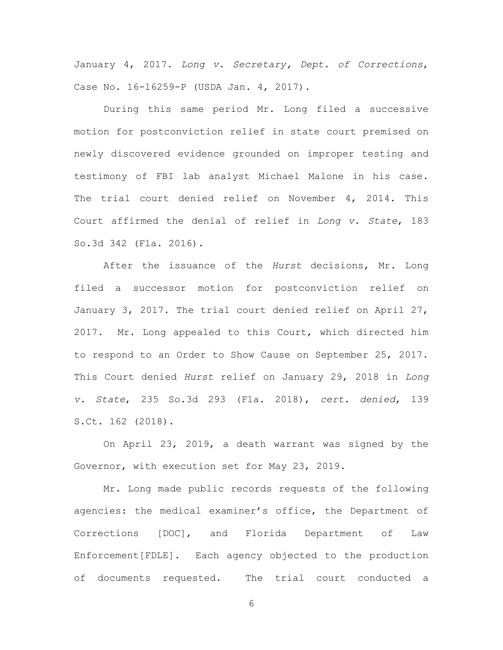January 4, 2017. *Long v. Secretary, Dept. of Corrections*, Case No. 16-16259-P (USDA Jan. 4, 2017).

During this same period Mr. Long filed a successive motion for postconviction relief in state court premised on newly discovered evidence grounded on improper testing and testimony of FBI lab analyst Michael Malone in his case. The trial court denied relief on November 4, 2014. This Court affirmed the denial of relief in *Long v. State*, 183 So.3d 342 (Fla. 2016).

After the issuance of the *Hurst* decisions, Mr. Long filed a successor motion for postconviction relief on January 3, 2017. The trial court denied relief on April 27, 2017. Mr. Long appealed to this Court, which directed him to respond to an Order to Show Cause on September 25, 2017. This Court denied *Hurst* relief on January 29, 2018 in *Long v. State*, 235 So.3d 293 (Fla. 2018), *cert. denied*, 139 S.Ct. 162 (2018).

On April 23, 2019, a death warrant was signed by the Governor, with execution set for May 23, 2019.

Mr. Long made public records requests of the following agencies: the medical examiner's office, the Department of Corrections [DOC], and Florida Department of Law Enforcement[FDLE]. Each agency objected to the production of documents requested. The trial court conducted a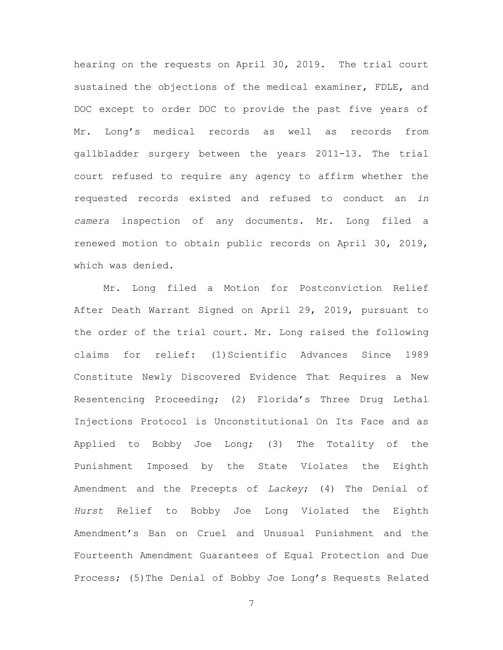hearing on the requests on April 30, 2019. The trial court sustained the objections of the medical examiner, FDLE, and DOC except to order DOC to provide the past five years of Mr. Long's medical records as well as records from gallbladder surgery between the years 2011-13. The trial court refused to require any agency to affirm whether the requested records existed and refused to conduct an *in camera* inspection of any documents. Mr. Long filed a renewed motion to obtain public records on April 30, 2019, which was denied.

Mr. Long filed a Motion for Postconviction Relief After Death Warrant Signed on April 29, 2019, pursuant to the order of the trial court. Mr. Long raised the following claims for relief: (1)Scientific Advances Since 1989 Constitute Newly Discovered Evidence That Requires a New Resentencing Proceeding; (2) Florida's Three Drug Lethal Injections Protocol is Unconstitutional On Its Face and as Applied to Bobby Joe Long; (3) The Totality of the Punishment Imposed by the State Violates the Eighth Amendment and the Precepts of *Lackey*; (4) The Denial of *Hurst* Relief to Bobby Joe Long Violated the Eighth Amendment's Ban on Cruel and Unusual Punishment and the Fourteenth Amendment Guarantees of Equal Protection and Due Process; (5)The Denial of Bobby Joe Long's Requests Related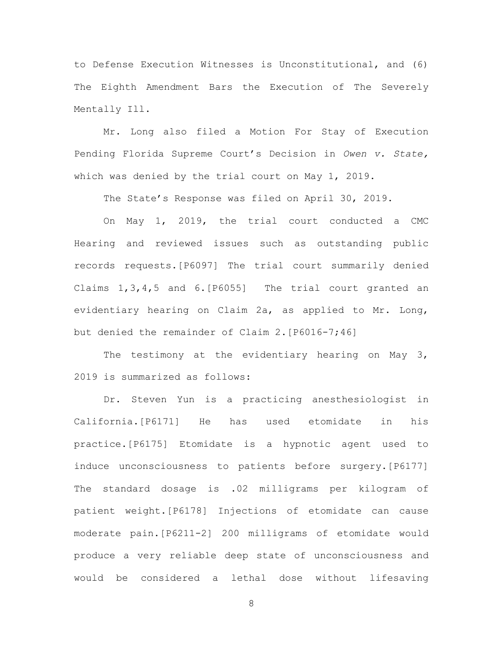to Defense Execution Witnesses is Unconstitutional, and (6) The Eighth Amendment Bars the Execution of The Severely Mentally Ill.

Mr. Long also filed a Motion For Stay of Execution Pending Florida Supreme Court's Decision in *Owen v. State,*  which was denied by the trial court on May 1, 2019.

The State's Response was filed on April 30, 2019.

On May 1, 2019, the trial court conducted a CMC Hearing and reviewed issues such as outstanding public records requests.[P6097] The trial court summarily denied Claims 1,3,4,5 and 6.[P6055] The trial court granted an evidentiary hearing on Claim 2a, as applied to Mr. Long, but denied the remainder of Claim 2.[P6016-7;46]

The testimony at the evidentiary hearing on May 3, 2019 is summarized as follows:

Dr. Steven Yun is a practicing anesthesiologist in California.[P6171] He has used etomidate in his practice.[P6175] Etomidate is a hypnotic agent used to induce unconsciousness to patients before surgery.[P6177] The standard dosage is .02 milligrams per kilogram of patient weight.[P6178] Injections of etomidate can cause moderate pain.[P6211-2] 200 milligrams of etomidate would produce a very reliable deep state of unconsciousness and would be considered a lethal dose without lifesaving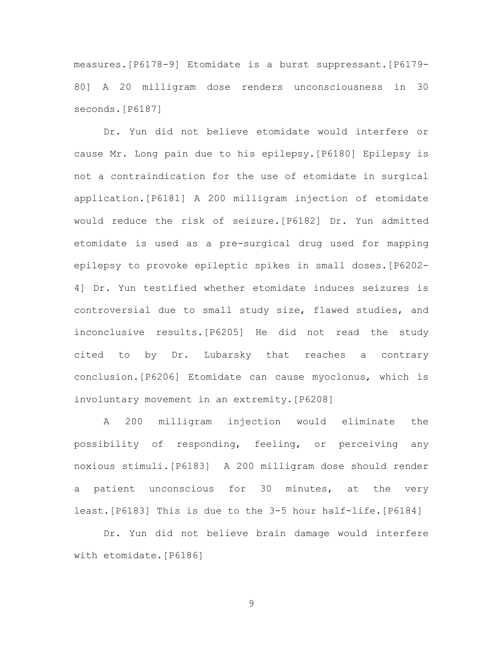measures.[P6178-9] Etomidate is a burst suppressant.[P6179- 80] A 20 milligram dose renders unconsciousness in 30 seconds.[P6187]

Dr. Yun did not believe etomidate would interfere or cause Mr. Long pain due to his epilepsy.[P6180] Epilepsy is not a contraindication for the use of etomidate in surgical application.[P6181] A 200 milligram injection of etomidate would reduce the risk of seizure.[P6182] Dr. Yun admitted etomidate is used as a pre-surgical drug used for mapping epilepsy to provoke epileptic spikes in small doses.[P6202- 4] Dr. Yun testified whether etomidate induces seizures is controversial due to small study size, flawed studies, and inconclusive results.[P6205] He did not read the study cited to by Dr. Lubarsky that reaches a contrary conclusion.[P6206] Etomidate can cause myoclonus, which is involuntary movement in an extremity.[P6208]

A 200 milligram injection would eliminate the possibility of responding, feeling, or perceiving any noxious stimuli.[P6183] A 200 milligram dose should render a patient unconscious for 30 minutes, at the very least.[P6183] This is due to the 3-5 hour half-life.[P6184]

Dr. Yun did not believe brain damage would interfere with etomidate.[P6186]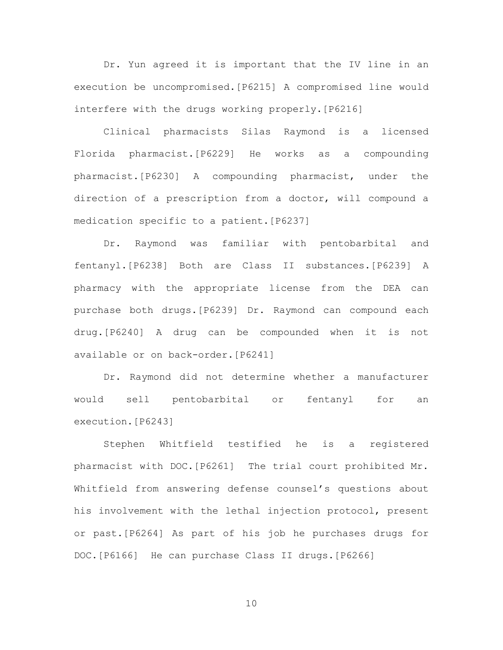Dr. Yun agreed it is important that the IV line in an execution be uncompromised.[P6215] A compromised line would interfere with the drugs working properly.[P6216]

Clinical pharmacists Silas Raymond is a licensed Florida pharmacist.[P6229] He works as a compounding pharmacist.[P6230] A compounding pharmacist, under the direction of a prescription from a doctor, will compound a medication specific to a patient.[P6237]

Dr. Raymond was familiar with pentobarbital and fentanyl.[P6238] Both are Class II substances.[P6239] A pharmacy with the appropriate license from the DEA can purchase both drugs.[P6239] Dr. Raymond can compound each drug.[P6240] A drug can be compounded when it is not available or on back-order.[P6241]

Dr. Raymond did not determine whether a manufacturer would sell pentobarbital or fentanyl for an execution.[P6243]

Stephen Whitfield testified he is a registered pharmacist with DOC.[P6261] The trial court prohibited Mr. Whitfield from answering defense counsel's questions about his involvement with the lethal injection protocol, present or past.[P6264] As part of his job he purchases drugs for DOC.[P6166] He can purchase Class II drugs.[P6266]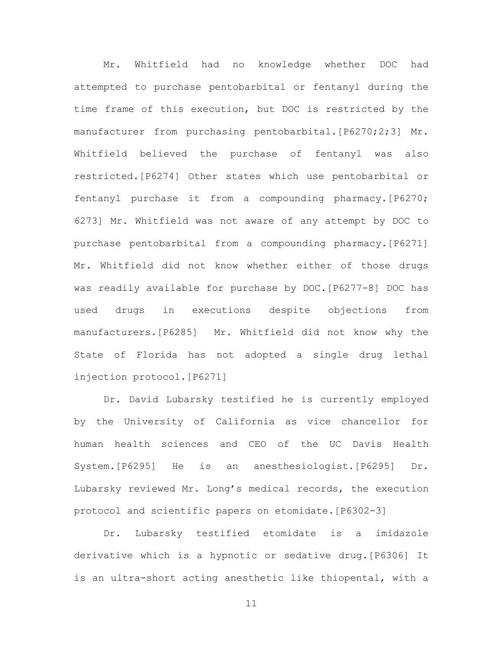Mr. Whitfield had no knowledge whether DOC had attempted to purchase pentobarbital or fentanyl during the time frame of this execution, but DOC is restricted by the manufacturer from purchasing pentobarbital.[P6270;2;3] Mr. Whitfield believed the purchase of fentanyl was also restricted.[P6274] Other states which use pentobarbital or fentanyl purchase it from a compounding pharmacy.[P6270; 6273] Mr. Whitfield was not aware of any attempt by DOC to purchase pentobarbital from a compounding pharmacy.[P6271] Mr. Whitfield did not know whether either of those drugs was readily available for purchase by DOC.[P6277-8] DOC has used drugs in executions despite objections from manufacturers.[P6285] Mr. Whitfield did not know why the State of Florida has not adopted a single drug lethal injection protocol.[P6271]

Dr. David Lubarsky testified he is currently employed by the University of California as vice chancellor for human health sciences and CEO of the UC Davis Health System.[P6295] He is an anesthesiologist.[P6295] Dr. Lubarsky reviewed Mr. Long's medical records, the execution protocol and scientific papers on etomidate.[P6302-3]

Dr. Lubarsky testified etomidate is a imidazole derivative which is a hypnotic or sedative drug.[P6306] It is an ultra-short acting anesthetic like thiopental, with a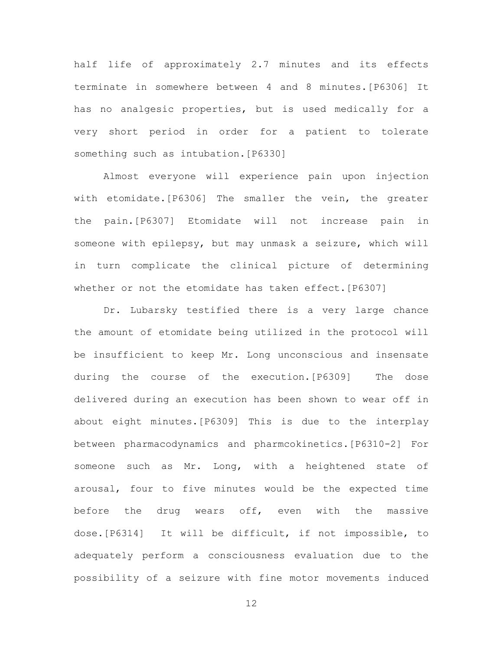half life of approximately 2.7 minutes and its effects terminate in somewhere between 4 and 8 minutes.[P6306] It has no analgesic properties, but is used medically for a very short period in order for a patient to tolerate something such as intubation. [P6330]

Almost everyone will experience pain upon injection with etomidate.[P6306] The smaller the vein, the greater the pain.[P6307] Etomidate will not increase pain in someone with epilepsy, but may unmask a seizure, which will in turn complicate the clinical picture of determining whether or not the etomidate has taken effect.[P6307]

Dr. Lubarsky testified there is a very large chance the amount of etomidate being utilized in the protocol will be insufficient to keep Mr. Long unconscious and insensate during the course of the execution.[P6309] The dose delivered during an execution has been shown to wear off in about eight minutes.[P6309] This is due to the interplay between pharmacodynamics and pharmcokinetics.[P6310-2] For someone such as Mr. Long, with a heightened state of arousal, four to five minutes would be the expected time before the drug wears off, even with the massive dose.[P6314] It will be difficult, if not impossible, to adequately perform a consciousness evaluation due to the possibility of a seizure with fine motor movements induced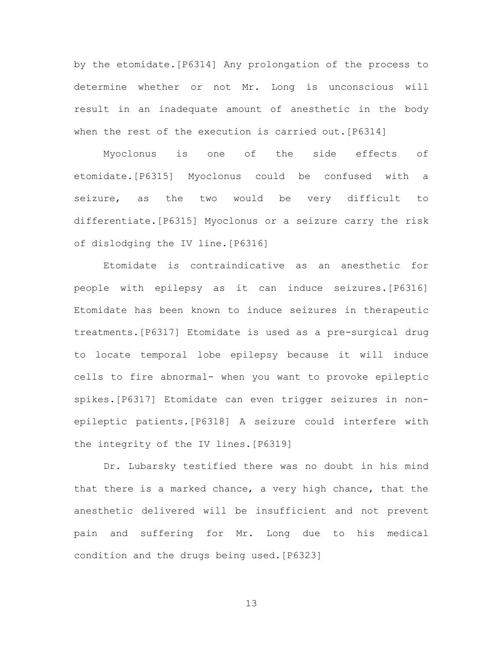by the etomidate.[P6314] Any prolongation of the process to determine whether or not Mr. Long is unconscious will result in an inadequate amount of anesthetic in the body when the rest of the execution is carried out.[P6314]

Myoclonus is one of the side effects of etomidate.[P6315] Myoclonus could be confused with a seizure, as the two would be very difficult to differentiate.[P6315] Myoclonus or a seizure carry the risk of dislodging the IV line.[P6316]

Etomidate is contraindicative as an anesthetic for people with epilepsy as it can induce seizures.[P6316] Etomidate has been known to induce seizures in therapeutic treatments.[P6317] Etomidate is used as a pre-surgical drug to locate temporal lobe epilepsy because it will induce cells to fire abnormal- when you want to provoke epileptic spikes.[P6317] Etomidate can even trigger seizures in nonepileptic patients.[P6318] A seizure could interfere with the integrity of the IV lines.[P6319]

Dr. Lubarsky testified there was no doubt in his mind that there is a marked chance, a very high chance, that the anesthetic delivered will be insufficient and not prevent pain and suffering for Mr. Long due to his medical condition and the drugs being used.[P6323]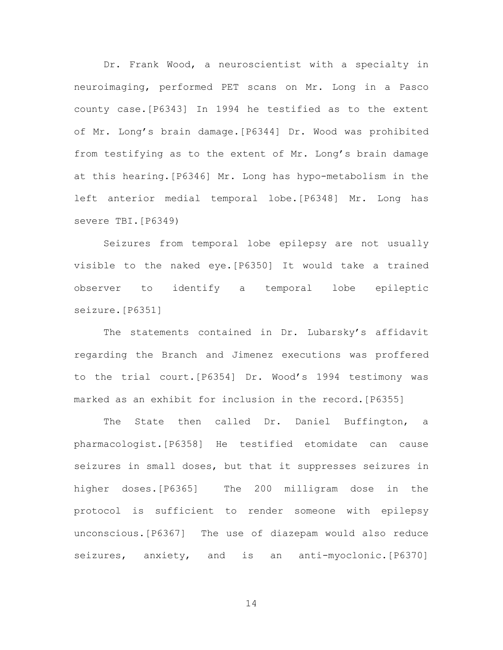Dr. Frank Wood, a neuroscientist with a specialty in neuroimaging, performed PET scans on Mr. Long in a Pasco county case.[P6343] In 1994 he testified as to the extent of Mr. Long's brain damage.[P6344] Dr. Wood was prohibited from testifying as to the extent of Mr. Long's brain damage at this hearing.[P6346] Mr. Long has hypo-metabolism in the left anterior medial temporal lobe.[P6348] Mr. Long has severe TBI.[P6349)

Seizures from temporal lobe epilepsy are not usually visible to the naked eye.[P6350] It would take a trained observer to identify a temporal lobe epileptic seizure.[P6351]

The statements contained in Dr. Lubarsky's affidavit regarding the Branch and Jimenez executions was proffered to the trial court.[P6354] Dr. Wood's 1994 testimony was marked as an exhibit for inclusion in the record.[P6355]

The State then called Dr. Daniel Buffington, a pharmacologist.[P6358] He testified etomidate can cause seizures in small doses, but that it suppresses seizures in higher doses.[P6365] The 200 milligram dose in the protocol is sufficient to render someone with epilepsy unconscious.[P6367] The use of diazepam would also reduce seizures, anxiety, and is an anti-myoclonic.[P6370]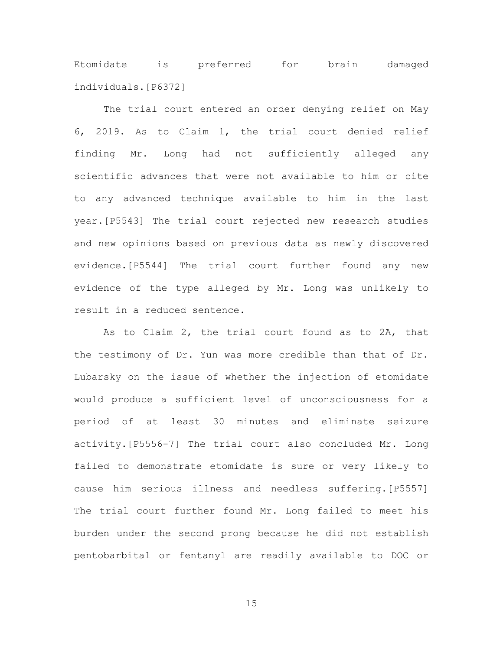Etomidate is preferred for brain damaged individuals.[P6372]

The trial court entered an order denying relief on May 6, 2019. As to Claim 1, the trial court denied relief finding Mr. Long had not sufficiently alleged any scientific advances that were not available to him or cite to any advanced technique available to him in the last year.[P5543] The trial court rejected new research studies and new opinions based on previous data as newly discovered evidence.[P5544] The trial court further found any new evidence of the type alleged by Mr. Long was unlikely to result in a reduced sentence.

As to Claim 2, the trial court found as to 2A, that the testimony of Dr. Yun was more credible than that of Dr. Lubarsky on the issue of whether the injection of etomidate would produce a sufficient level of unconsciousness for a period of at least 30 minutes and eliminate seizure activity.[P5556-7] The trial court also concluded Mr. Long failed to demonstrate etomidate is sure or very likely to cause him serious illness and needless suffering.[P5557] The trial court further found Mr. Long failed to meet his burden under the second prong because he did not establish pentobarbital or fentanyl are readily available to DOC or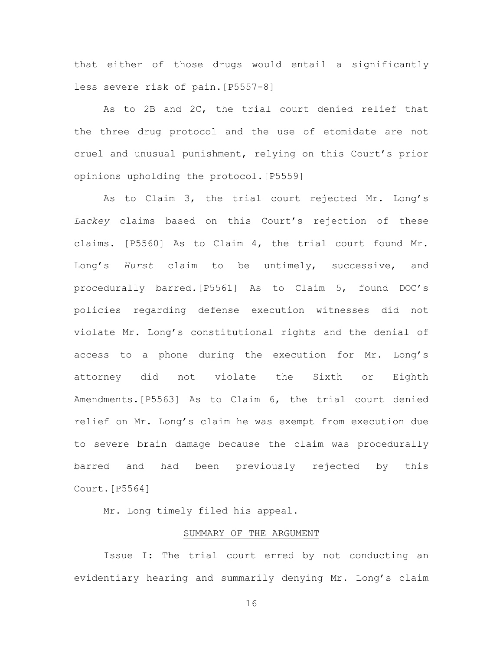that either of those drugs would entail a significantly less severe risk of pain.[P5557-8]

As to 2B and 2C, the trial court denied relief that the three drug protocol and the use of etomidate are not cruel and unusual punishment, relying on this Court's prior opinions upholding the protocol.[P5559]

As to Claim 3, the trial court rejected Mr. Long's *Lackey* claims based on this Court's rejection of these claims. [P5560] As to Claim 4, the trial court found Mr. Long's *Hurst* claim to be untimely, successive, and procedurally barred.[P5561] As to Claim 5, found DOC's policies regarding defense execution witnesses did not violate Mr. Long's constitutional rights and the denial of access to a phone during the execution for Mr. Long's attorney did not violate the Sixth or Eighth Amendments.[P5563] As to Claim 6, the trial court denied relief on Mr. Long's claim he was exempt from execution due to severe brain damage because the claim was procedurally barred and had been previously rejected by this Court.[P5564]

Mr. Long timely filed his appeal.

# SUMMARY OF THE ARGUMENT

Issue I: The trial court erred by not conducting an evidentiary hearing and summarily denying Mr. Long's claim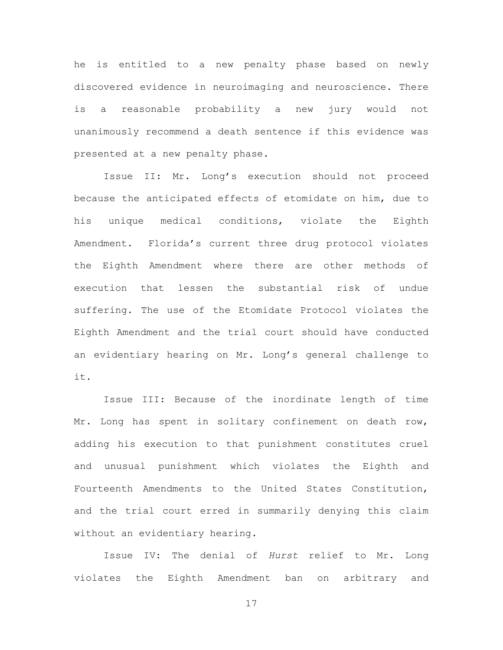he is entitled to a new penalty phase based on newly discovered evidence in neuroimaging and neuroscience. There is a reasonable probability a new jury would not unanimously recommend a death sentence if this evidence was presented at a new penalty phase.

Issue II: Mr. Long's execution should not proceed because the anticipated effects of etomidate on him, due to his unique medical conditions, violate the Eighth Amendment. Florida's current three drug protocol violates the Eighth Amendment where there are other methods of execution that lessen the substantial risk of undue suffering. The use of the Etomidate Protocol violates the Eighth Amendment and the trial court should have conducted an evidentiary hearing on Mr. Long's general challenge to it.

Issue III: Because of the inordinate length of time Mr. Long has spent in solitary confinement on death row, adding his execution to that punishment constitutes cruel and unusual punishment which violates the Eighth and Fourteenth Amendments to the United States Constitution, and the trial court erred in summarily denying this claim without an evidentiary hearing.

Issue IV: The denial of *Hurst* relief to Mr. Long violates the Eighth Amendment ban on arbitrary and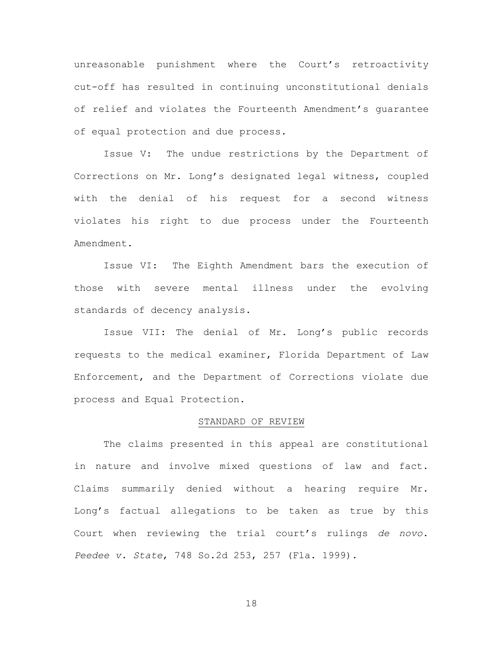unreasonable punishment where the Court's retroactivity cut-off has resulted in continuing unconstitutional denials of relief and violates the Fourteenth Amendment's guarantee of equal protection and due process.

Issue V: The undue restrictions by the Department of Corrections on Mr. Long's designated legal witness, coupled with the denial of his request for a second witness violates his right to due process under the Fourteenth Amendment.

Issue VI: The Eighth Amendment bars the execution of those with severe mental illness under the evolving standards of decency analysis.

Issue VII: The denial of Mr. Long's public records requests to the medical examiner, Florida Department of Law Enforcement, and the Department of Corrections violate due process and Equal Protection.

### STANDARD OF REVIEW

The claims presented in this appeal are constitutional in nature and involve mixed questions of law and fact. Claims summarily denied without a hearing require Mr. Long's factual allegations to be taken as true by this Court when reviewing the trial court's rulings *de novo*. *Peedee v. State*, 748 So.2d 253, 257 (Fla. 1999).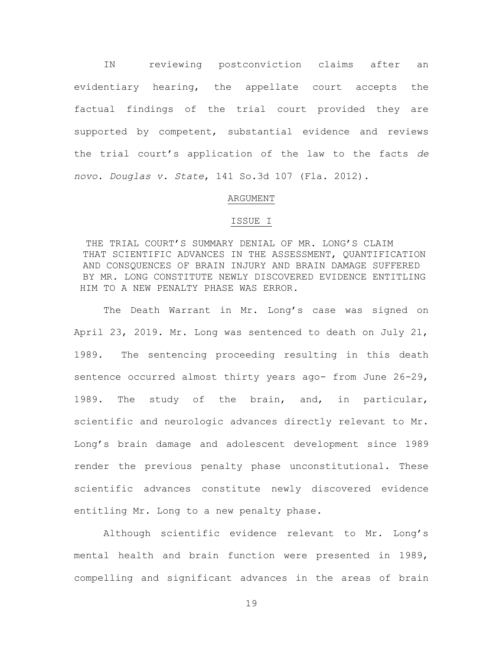IN reviewing postconviction claims after an evidentiary hearing, the appellate court accepts the factual findings of the trial court provided they are supported by competent, substantial evidence and reviews the trial court's application of the law to the facts *de novo*. *Douglas v. State*, 141 So.3d 107 (Fla. 2012).

### ARGUMENT

#### ISSUE I

 THE TRIAL COURT'S SUMMARY DENIAL OF MR. LONG'S CLAIM THAT SCIENTIFIC ADVANCES IN THE ASSESSMENT, QUANTIFICATION AND CONSQUENCES OF BRAIN INJURY AND BRAIN DAMAGE SUFFERED BY MR. LONG CONSTITUTE NEWLY DISCOVERED EVIDENCE ENTITLING HIM TO A NEW PENALTY PHASE WAS ERROR.

The Death Warrant in Mr. Long's case was signed on April 23, 2019. Mr. Long was sentenced to death on July 21, 1989. The sentencing proceeding resulting in this death sentence occurred almost thirty years ago- from June 26-29, 1989. The study of the brain, and, in particular, scientific and neurologic advances directly relevant to Mr. Long's brain damage and adolescent development since 1989 render the previous penalty phase unconstitutional. These scientific advances constitute newly discovered evidence entitling Mr. Long to a new penalty phase.

Although scientific evidence relevant to Mr. Long's mental health and brain function were presented in 1989, compelling and significant advances in the areas of brain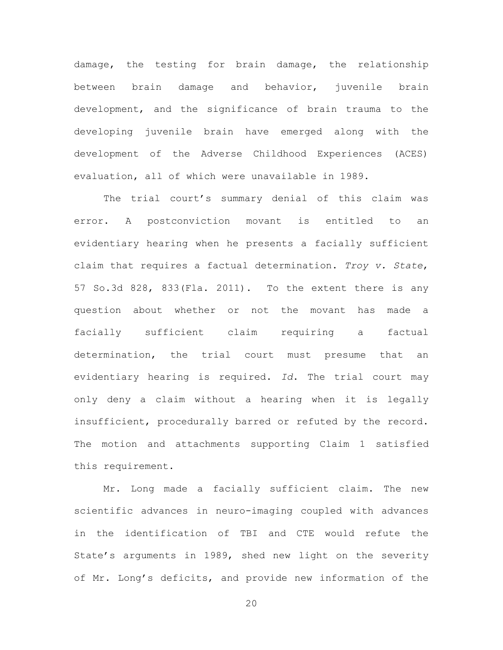damage, the testing for brain damage, the relationship between brain damage and behavior, juvenile brain development, and the significance of brain trauma to the developing juvenile brain have emerged along with the development of the Adverse Childhood Experiences (ACES) evaluation, all of which were unavailable in 1989.

The trial court's summary denial of this claim was error. A postconviction movant is entitled to an evidentiary hearing when he presents a facially sufficient claim that requires a factual determination. *Troy v. State*, 57 So.3d 828, 833(Fla. 2011). To the extent there is any question about whether or not the movant has made a facially sufficient claim requiring a factual determination, the trial court must presume that an evidentiary hearing is required. *Id*. The trial court may only deny a claim without a hearing when it is legally insufficient, procedurally barred or refuted by the record. The motion and attachments supporting Claim 1 satisfied this requirement.

Mr. Long made a facially sufficient claim. The new scientific advances in neuro-imaging coupled with advances in the identification of TBI and CTE would refute the State's arguments in 1989, shed new light on the severity of Mr. Long's deficits, and provide new information of the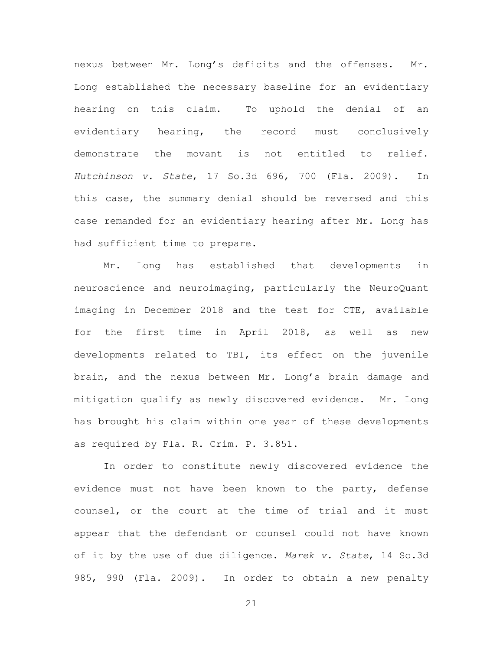nexus between Mr. Long's deficits and the offenses. Mr. Long established the necessary baseline for an evidentiary hearing on this claim. To uphold the denial of an evidentiary hearing, the record must conclusively demonstrate the movant is not entitled to relief. *Hutchinson v. State*, 17 So.3d 696, 700 (Fla. 2009). In this case, the summary denial should be reversed and this case remanded for an evidentiary hearing after Mr. Long has had sufficient time to prepare.

Mr. Long has established that developments in neuroscience and neuroimaging, particularly the NeuroQuant imaging in December 2018 and the test for CTE, available for the first time in April 2018, as well as new developments related to TBI, its effect on the juvenile brain, and the nexus between Mr. Long's brain damage and mitigation qualify as newly discovered evidence. Mr. Long has brought his claim within one year of these developments as required by Fla. R. Crim. P. 3.851.

In order to constitute newly discovered evidence the evidence must not have been known to the party, defense counsel, or the court at the time of trial and it must appear that the defendant or counsel could not have known of it by the use of due diligence. *Marek v. State*, 14 So.3d 985, 990 (Fla. 2009). In order to obtain a new penalty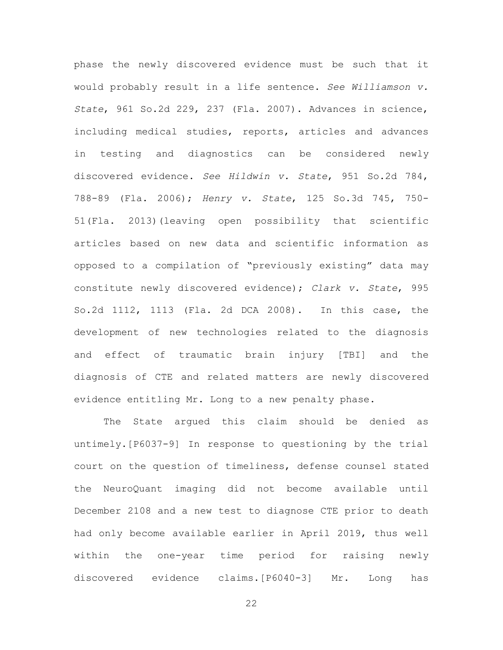phase the newly discovered evidence must be such that it would probably result in a life sentence. *See Williamson v. State*, 961 So.2d 229, 237 (Fla. 2007). Advances in science, including medical studies, reports, articles and advances in testing and diagnostics can be considered newly discovered evidence. *See Hildwin v. State*, 951 So.2d 784, 788-89 (Fla. 2006); *Henry v. State*, 125 So.3d 745, 750- 51(Fla. 2013)(leaving open possibility that scientific articles based on new data and scientific information as opposed to a compilation of "previously existing" data may constitute newly discovered evidence); *Clark v. State*, 995 So.2d 1112, 1113 (Fla. 2d DCA 2008). In this case, the development of new technologies related to the diagnosis and effect of traumatic brain injury [TBI] and the diagnosis of CTE and related matters are newly discovered evidence entitling Mr. Long to a new penalty phase.

The State argued this claim should be denied as untimely.[P6037-9] In response to questioning by the trial court on the question of timeliness, defense counsel stated the NeuroQuant imaging did not become available until December 2108 and a new test to diagnose CTE prior to death had only become available earlier in April 2019, thus well within the one-year time period for raising newly discovered evidence claims.[P6040-3] Mr. Long has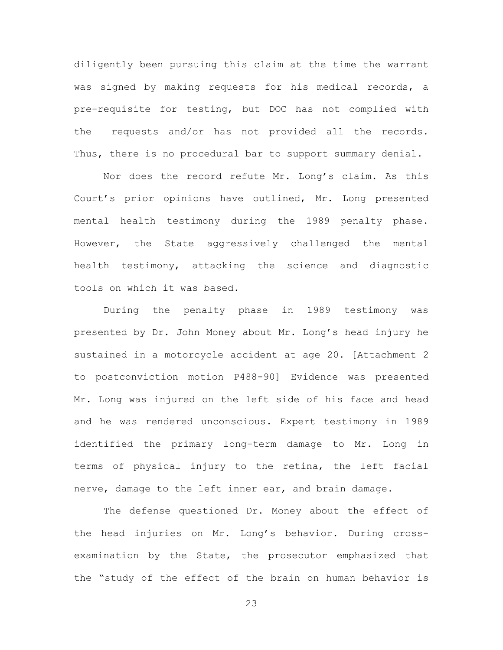diligently been pursuing this claim at the time the warrant was signed by making requests for his medical records, a pre-requisite for testing, but DOC has not complied with the requests and/or has not provided all the records. Thus, there is no procedural bar to support summary denial.

Nor does the record refute Mr. Long's claim. As this Court's prior opinions have outlined, Mr. Long presented mental health testimony during the 1989 penalty phase. However, the State aggressively challenged the mental health testimony, attacking the science and diagnostic tools on which it was based.

During the penalty phase in 1989 testimony was presented by Dr. John Money about Mr. Long's head injury he sustained in a motorcycle accident at age 20. [Attachment 2 to postconviction motion P488-90] Evidence was presented Mr. Long was injured on the left side of his face and head and he was rendered unconscious. Expert testimony in 1989 identified the primary long-term damage to Mr. Long in terms of physical injury to the retina, the left facial nerve, damage to the left inner ear, and brain damage.

The defense questioned Dr. Money about the effect of the head injuries on Mr. Long's behavior. During crossexamination by the State, the prosecutor emphasized that the "study of the effect of the brain on human behavior is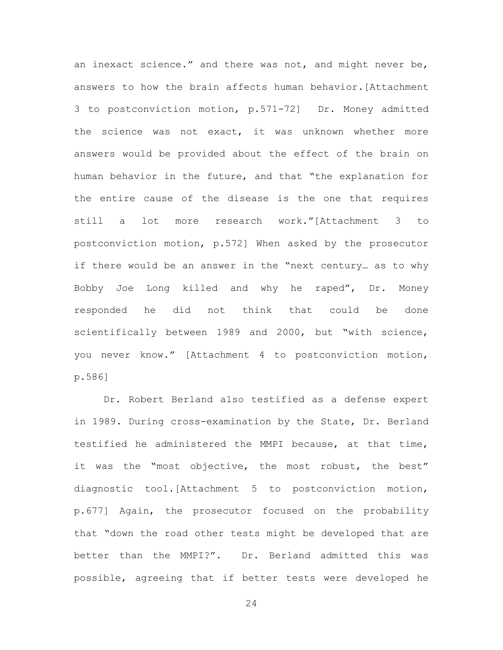an inexact science." and there was not, and might never be, answers to how the brain affects human behavior.[Attachment 3 to postconviction motion, p.571-72] Dr. Money admitted the science was not exact, it was unknown whether more answers would be provided about the effect of the brain on human behavior in the future, and that "the explanation for the entire cause of the disease is the one that requires still a lot more research work."[Attachment 3 to postconviction motion, p.572] When asked by the prosecutor if there would be an answer in the "next century… as to why Bobby Joe Long killed and why he raped", Dr. Money responded he did not think that could be done scientifically between 1989 and 2000, but "with science, you never know." [Attachment 4 to postconviction motion, p.586]

Dr. Robert Berland also testified as a defense expert in 1989. During cross-examination by the State, Dr. Berland testified he administered the MMPI because, at that time, it was the "most objective, the most robust, the best" diagnostic tool.[Attachment 5 to postconviction motion, p.677] Again, the prosecutor focused on the probability that "down the road other tests might be developed that are better than the MMPI?". Dr. Berland admitted this was possible, agreeing that if better tests were developed he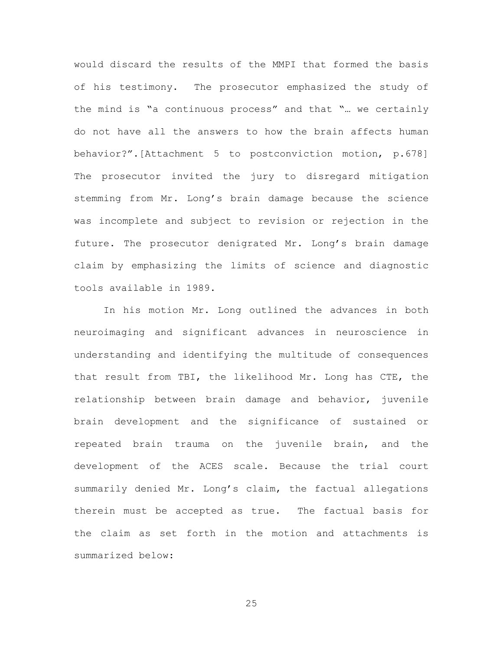would discard the results of the MMPI that formed the basis of his testimony. The prosecutor emphasized the study of the mind is "a continuous process" and that "… we certainly do not have all the answers to how the brain affects human behavior?".[Attachment 5 to postconviction motion, p.678] The prosecutor invited the jury to disregard mitigation stemming from Mr. Long's brain damage because the science was incomplete and subject to revision or rejection in the future. The prosecutor denigrated Mr. Long's brain damage claim by emphasizing the limits of science and diagnostic tools available in 1989.

In his motion Mr. Long outlined the advances in both neuroimaging and significant advances in neuroscience in understanding and identifying the multitude of consequences that result from TBI, the likelihood Mr. Long has CTE, the relationship between brain damage and behavior, juvenile brain development and the significance of sustained or repeated brain trauma on the juvenile brain, and the development of the ACES scale. Because the trial court summarily denied Mr. Long's claim, the factual allegations therein must be accepted as true. The factual basis for the claim as set forth in the motion and attachments is summarized below: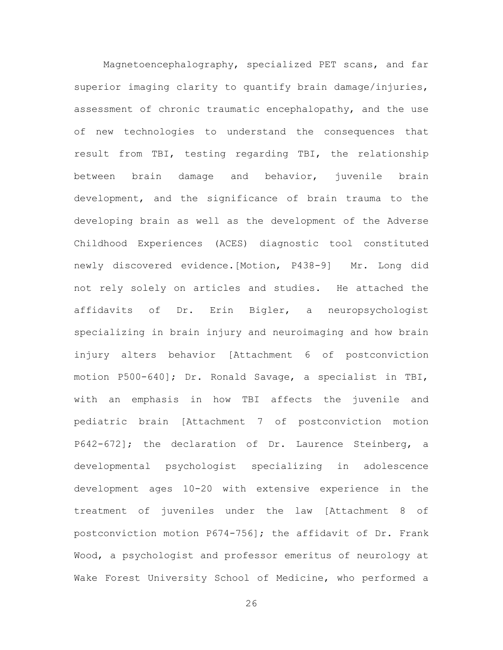Magnetoencephalography, specialized PET scans, and far superior imaging clarity to quantify brain damage/injuries, assessment of chronic traumatic encephalopathy, and the use of new technologies to understand the consequences that result from TBI, testing regarding TBI, the relationship between brain damage and behavior, juvenile brain development, and the significance of brain trauma to the developing brain as well as the development of the Adverse Childhood Experiences (ACES) diagnostic tool constituted newly discovered evidence.[Motion, P438-9] Mr. Long did not rely solely on articles and studies. He attached the affidavits of Dr. Erin Bigler, a neuropsychologist specializing in brain injury and neuroimaging and how brain injury alters behavior [Attachment 6 of postconviction motion P500-640]; Dr. Ronald Savage, a specialist in TBI, with an emphasis in how TBI affects the juvenile and pediatric brain [Attachment 7 of postconviction motion P642-672]; the declaration of Dr. Laurence Steinberg, a developmental psychologist specializing in adolescence development ages 10-20 with extensive experience in the treatment of juveniles under the law [Attachment 8 of postconviction motion P674-756]; the affidavit of Dr. Frank Wood, a psychologist and professor emeritus of neurology at Wake Forest University School of Medicine, who performed a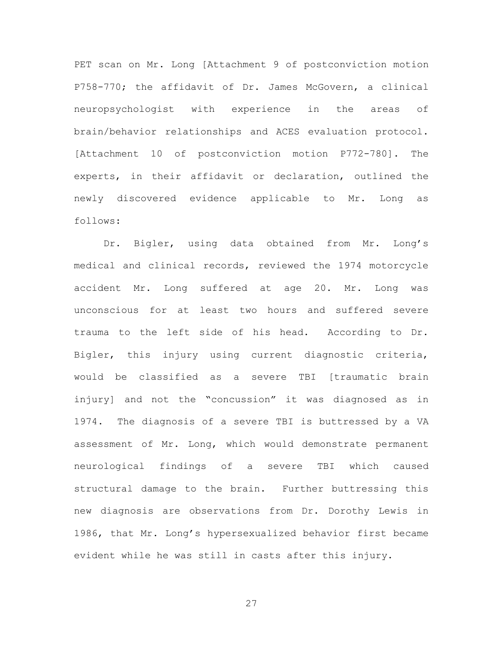PET scan on Mr. Long [Attachment 9 of postconviction motion P758-770; the affidavit of Dr. James McGovern, a clinical neuropsychologist with experience in the areas of brain/behavior relationships and ACES evaluation protocol. [Attachment 10 of postconviction motion P772-780]. The experts, in their affidavit or declaration, outlined the newly discovered evidence applicable to Mr. Long as follows:

Dr. Bigler, using data obtained from Mr. Long's medical and clinical records, reviewed the 1974 motorcycle accident Mr. Long suffered at age 20. Mr. Long was unconscious for at least two hours and suffered severe trauma to the left side of his head. According to Dr. Bigler, this injury using current diagnostic criteria, would be classified as a severe TBI [traumatic brain injury] and not the "concussion" it was diagnosed as in 1974. The diagnosis of a severe TBI is buttressed by a VA assessment of Mr. Long, which would demonstrate permanent neurological findings of a severe TBI which caused structural damage to the brain. Further buttressing this new diagnosis are observations from Dr. Dorothy Lewis in 1986, that Mr. Long's hypersexualized behavior first became evident while he was still in casts after this injury.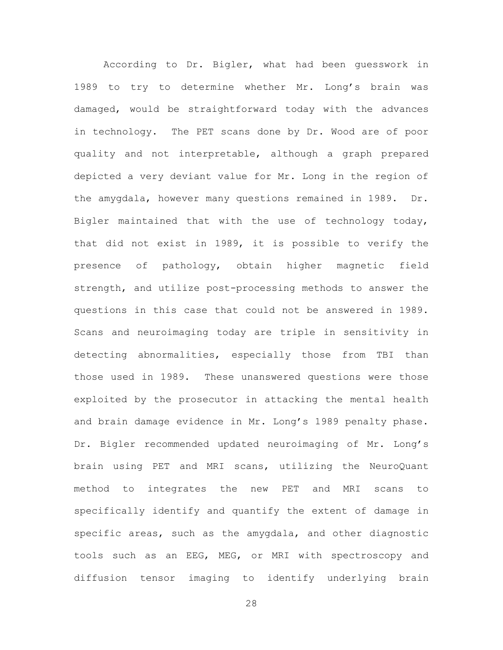According to Dr. Bigler, what had been guesswork in 1989 to try to determine whether Mr. Long's brain was damaged, would be straightforward today with the advances in technology. The PET scans done by Dr. Wood are of poor quality and not interpretable, although a graph prepared depicted a very deviant value for Mr. Long in the region of the amygdala, however many questions remained in 1989. Dr. Bigler maintained that with the use of technology today, that did not exist in 1989, it is possible to verify the presence of pathology, obtain higher magnetic field strength, and utilize post-processing methods to answer the questions in this case that could not be answered in 1989. Scans and neuroimaging today are triple in sensitivity in detecting abnormalities, especially those from TBI than those used in 1989. These unanswered questions were those exploited by the prosecutor in attacking the mental health and brain damage evidence in Mr. Long's 1989 penalty phase. Dr. Bigler recommended updated neuroimaging of Mr. Long's brain using PET and MRI scans, utilizing the NeuroQuant method to integrates the new PET and MRI scans to specifically identify and quantify the extent of damage in specific areas, such as the amygdala, and other diagnostic tools such as an EEG, MEG, or MRI with spectroscopy and diffusion tensor imaging to identify underlying brain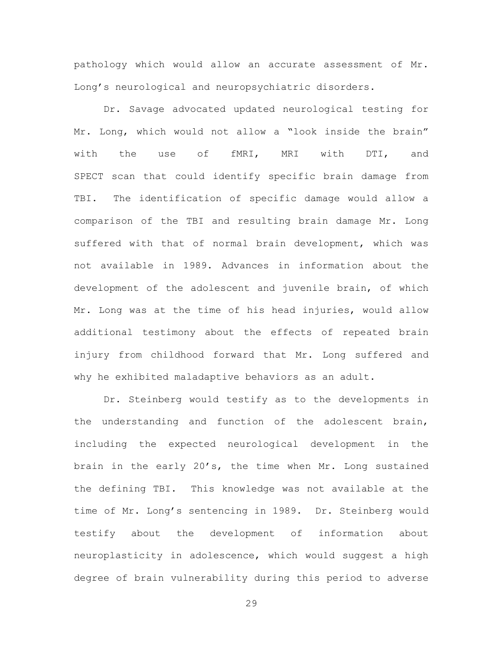pathology which would allow an accurate assessment of Mr. Long's neurological and neuropsychiatric disorders.

Dr. Savage advocated updated neurological testing for Mr. Long, which would not allow a "look inside the brain" with the use of fMRI, MRI with DTI, and SPECT scan that could identify specific brain damage from TBI. The identification of specific damage would allow a comparison of the TBI and resulting brain damage Mr. Long suffered with that of normal brain development, which was not available in 1989. Advances in information about the development of the adolescent and juvenile brain, of which Mr. Long was at the time of his head injuries, would allow additional testimony about the effects of repeated brain injury from childhood forward that Mr. Long suffered and why he exhibited maladaptive behaviors as an adult.

Dr. Steinberg would testify as to the developments in the understanding and function of the adolescent brain, including the expected neurological development in the brain in the early 20's, the time when Mr. Long sustained the defining TBI. This knowledge was not available at the time of Mr. Long's sentencing in 1989. Dr. Steinberg would testify about the development of information about neuroplasticity in adolescence, which would suggest a high degree of brain vulnerability during this period to adverse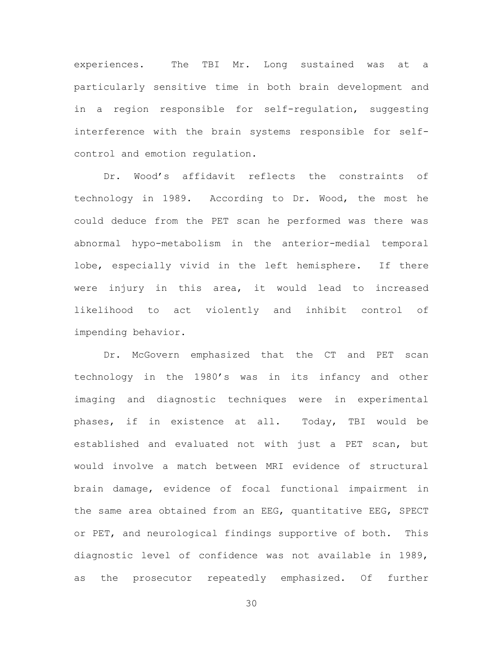experiences. The TBI Mr. Long sustained was at a particularly sensitive time in both brain development and in a region responsible for self-regulation, suggesting interference with the brain systems responsible for selfcontrol and emotion regulation.

Dr. Wood's affidavit reflects the constraints of technology in 1989. According to Dr. Wood, the most he could deduce from the PET scan he performed was there was abnormal hypo-metabolism in the anterior-medial temporal lobe, especially vivid in the left hemisphere. If there were injury in this area, it would lead to increased likelihood to act violently and inhibit control of impending behavior.

Dr. McGovern emphasized that the CT and PET scan technology in the 1980's was in its infancy and other imaging and diagnostic techniques were in experimental phases, if in existence at all. Today, TBI would be established and evaluated not with just a PET scan, but would involve a match between MRI evidence of structural brain damage, evidence of focal functional impairment in the same area obtained from an EEG, quantitative EEG, SPECT or PET, and neurological findings supportive of both. This diagnostic level of confidence was not available in 1989, as the prosecutor repeatedly emphasized. Of further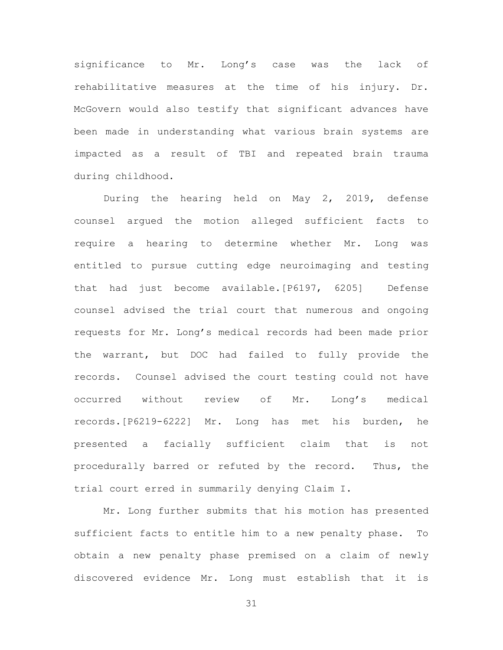significance to Mr. Long's case was the lack of rehabilitative measures at the time of his injury. Dr. McGovern would also testify that significant advances have been made in understanding what various brain systems are impacted as a result of TBI and repeated brain trauma during childhood.

During the hearing held on May 2, 2019, defense counsel argued the motion alleged sufficient facts to require a hearing to determine whether Mr. Long was entitled to pursue cutting edge neuroimaging and testing that had just become available.[P6197, 6205] Defense counsel advised the trial court that numerous and ongoing requests for Mr. Long's medical records had been made prior the warrant, but DOC had failed to fully provide the records. Counsel advised the court testing could not have occurred without review of Mr. Long's medical records.[P6219-6222] Mr. Long has met his burden, he presented a facially sufficient claim that is not procedurally barred or refuted by the record. Thus, the trial court erred in summarily denying Claim I.

Mr. Long further submits that his motion has presented sufficient facts to entitle him to a new penalty phase. To obtain a new penalty phase premised on a claim of newly discovered evidence Mr. Long must establish that it is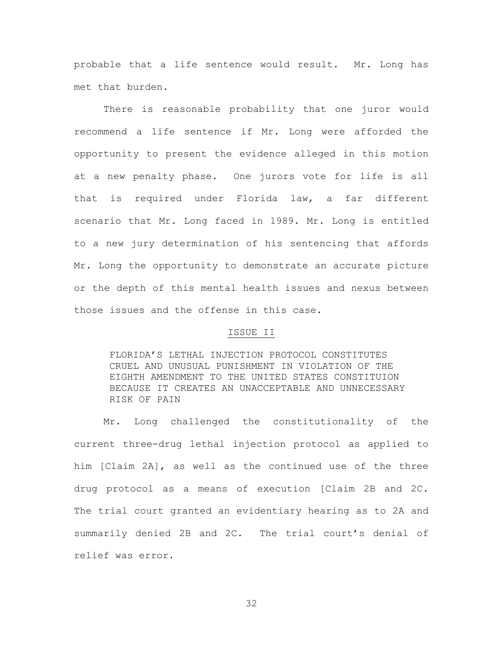probable that a life sentence would result. Mr. Long has met that burden.

There is reasonable probability that one juror would recommend a life sentence if Mr. Long were afforded the opportunity to present the evidence alleged in this motion at a new penalty phase. One jurors vote for life is all that is required under Florida law, a far different scenario that Mr. Long faced in 1989. Mr. Long is entitled to a new jury determination of his sentencing that affords Mr. Long the opportunity to demonstrate an accurate picture or the depth of this mental health issues and nexus between those issues and the offense in this case.

#### ISSUE II

FLORIDA'S LETHAL INJECTION PROTOCOL CONSTITUTES CRUEL AND UNUSUAL PUNISHMENT IN VIOLATION OF THE EIGHTH AMENDMENT TO THE UNITED STATES CONSTITUION BECAUSE IT CREATES AN UNACCEPTABLE AND UNNECESSARY RISK OF PAIN

Mr. Long challenged the constitutionality of the current three-drug lethal injection protocol as applied to him [Claim 2A], as well as the continued use of the three drug protocol as a means of execution [Claim 2B and 2C. The trial court granted an evidentiary hearing as to 2A and summarily denied 2B and 2C. The trial court's denial of relief was error.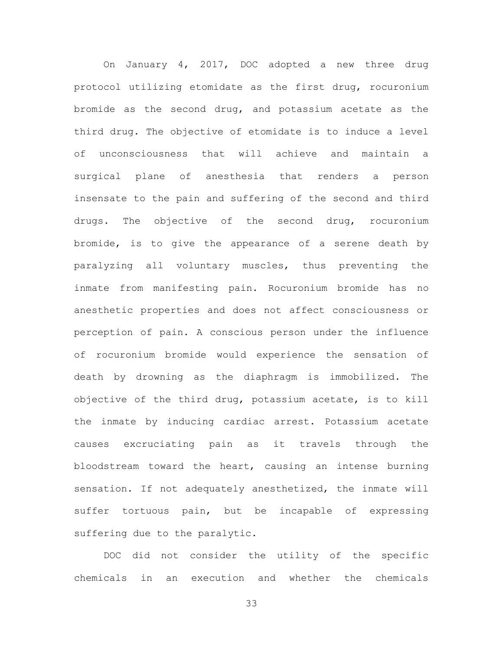On January 4, 2017, DOC adopted a new three drug protocol utilizing etomidate as the first drug, rocuronium bromide as the second drug, and potassium acetate as the third drug. The objective of etomidate is to induce a level of unconsciousness that will achieve and maintain a surgical plane of anesthesia that renders a person insensate to the pain and suffering of the second and third drugs. The objective of the second drug, rocuronium bromide, is to give the appearance of a serene death by paralyzing all voluntary muscles, thus preventing the inmate from manifesting pain. Rocuronium bromide has no anesthetic properties and does not affect consciousness or perception of pain. A conscious person under the influence of rocuronium bromide would experience the sensation of death by drowning as the diaphragm is immobilized. The objective of the third drug, potassium acetate, is to kill the inmate by inducing cardiac arrest. Potassium acetate causes excruciating pain as it travels through the bloodstream toward the heart, causing an intense burning sensation. If not adequately anesthetized, the inmate will suffer tortuous pain, but be incapable of expressing suffering due to the paralytic.

DOC did not consider the utility of the specific chemicals in an execution and whether the chemicals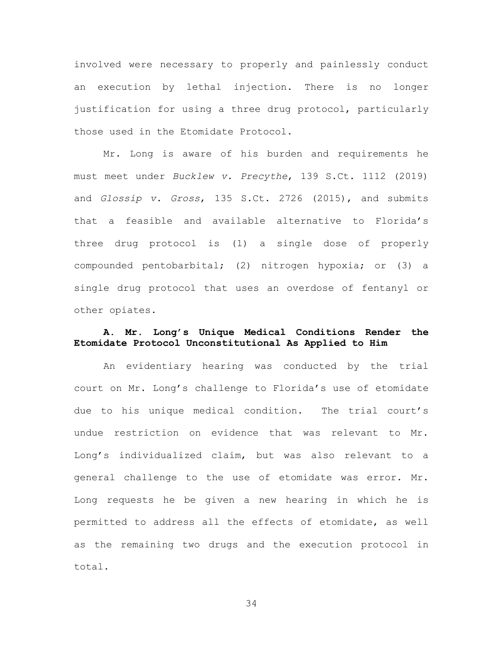involved were necessary to properly and painlessly conduct an execution by lethal injection. There is no longer justification for using a three drug protocol, particularly those used in the Etomidate Protocol.

Mr. Long is aware of his burden and requirements he must meet under *Bucklew v. Precythe*, 139 S.Ct. 1112 (2019) and *Glossip v. Gross*, 135 S.Ct. 2726 (2015), and submits that a feasible and available alternative to Florida's three drug protocol is (1) a single dose of properly compounded pentobarbital; (2) nitrogen hypoxia; or (3) a single drug protocol that uses an overdose of fentanyl or other opiates.

### **A. Mr. Long's Unique Medical Conditions Render the Etomidate Protocol Unconstitutional As Applied to Him**

An evidentiary hearing was conducted by the trial court on Mr. Long's challenge to Florida's use of etomidate due to his unique medical condition. The trial court's undue restriction on evidence that was relevant to Mr. Long's individualized claim, but was also relevant to a general challenge to the use of etomidate was error. Mr. Long requests he be given a new hearing in which he is permitted to address all the effects of etomidate, as well as the remaining two drugs and the execution protocol in total.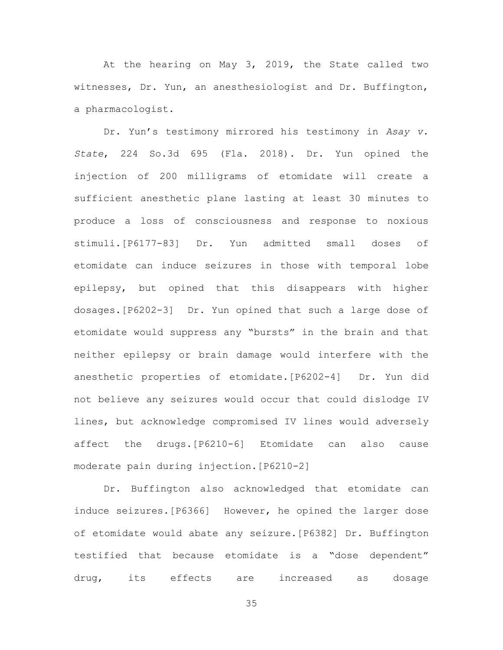At the hearing on May 3, 2019, the State called two witnesses, Dr. Yun, an anesthesiologist and Dr. Buffington, a pharmacologist.

Dr. Yun's testimony mirrored his testimony in *Asay v. State*, 224 So.3d 695 (Fla. 2018). Dr. Yun opined the injection of 200 milligrams of etomidate will create a sufficient anesthetic plane lasting at least 30 minutes to produce a loss of consciousness and response to noxious stimuli.[P6177-83] Dr. Yun admitted small doses of etomidate can induce seizures in those with temporal lobe epilepsy, but opined that this disappears with higher dosages.[P6202-3] Dr. Yun opined that such a large dose of etomidate would suppress any "bursts" in the brain and that neither epilepsy or brain damage would interfere with the anesthetic properties of etomidate.[P6202-4] Dr. Yun did not believe any seizures would occur that could dislodge IV lines, but acknowledge compromised IV lines would adversely affect the drugs.[P6210-6] Etomidate can also cause moderate pain during injection.[P6210-2]

Dr. Buffington also acknowledged that etomidate can induce seizures.[P6366] However, he opined the larger dose of etomidate would abate any seizure.[P6382] Dr. Buffington testified that because etomidate is a "dose dependent" drug, its effects are increased as dosage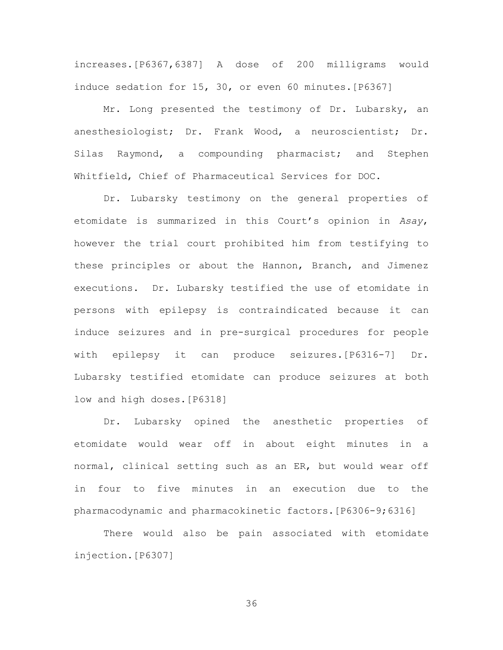increases.[P6367,6387] A dose of 200 milligrams would induce sedation for 15, 30, or even 60 minutes. [P6367]

Mr. Long presented the testimony of Dr. Lubarsky, an anesthesiologist; Dr. Frank Wood, a neuroscientist; Dr. Silas Raymond, a compounding pharmacist; and Stephen Whitfield, Chief of Pharmaceutical Services for DOC.

Dr. Lubarsky testimony on the general properties of etomidate is summarized in this Court's opinion in *Asay*, however the trial court prohibited him from testifying to these principles or about the Hannon, Branch, and Jimenez executions. Dr. Lubarsky testified the use of etomidate in persons with epilepsy is contraindicated because it can induce seizures and in pre-surgical procedures for people with epilepsy it can produce seizures.[P6316-7] Dr. Lubarsky testified etomidate can produce seizures at both low and high doses.[P6318]

Dr. Lubarsky opined the anesthetic properties of etomidate would wear off in about eight minutes in a normal, clinical setting such as an ER, but would wear off in four to five minutes in an execution due to the pharmacodynamic and pharmacokinetic factors.[P6306-9;6316]

There would also be pain associated with etomidate injection.[P6307]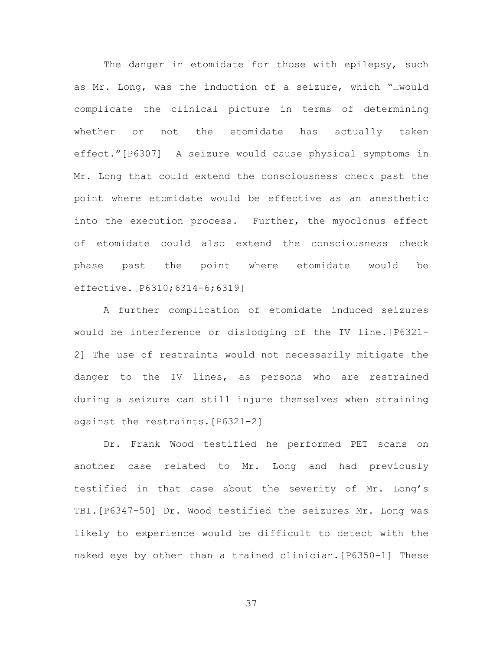The danger in etomidate for those with epilepsy, such as Mr. Long, was the induction of a seizure, which "…would complicate the clinical picture in terms of determining whether or not the etomidate has actually taken effect."[P6307] A seizure would cause physical symptoms in Mr. Long that could extend the consciousness check past the point where etomidate would be effective as an anesthetic into the execution process. Further, the myoclonus effect of etomidate could also extend the consciousness check phase past the point where etomidate would be effective.[P6310;6314-6;6319]

A further complication of etomidate induced seizures would be interference or dislodging of the IV line.[P6321- 2] The use of restraints would not necessarily mitigate the danger to the IV lines, as persons who are restrained during a seizure can still injure themselves when straining against the restraints.[P6321-2]

Dr. Frank Wood testified he performed PET scans on another case related to Mr. Long and had previously testified in that case about the severity of Mr. Long's TBI.[P6347-50] Dr. Wood testified the seizures Mr. Long was likely to experience would be difficult to detect with the naked eye by other than a trained clinician.[P6350-1] These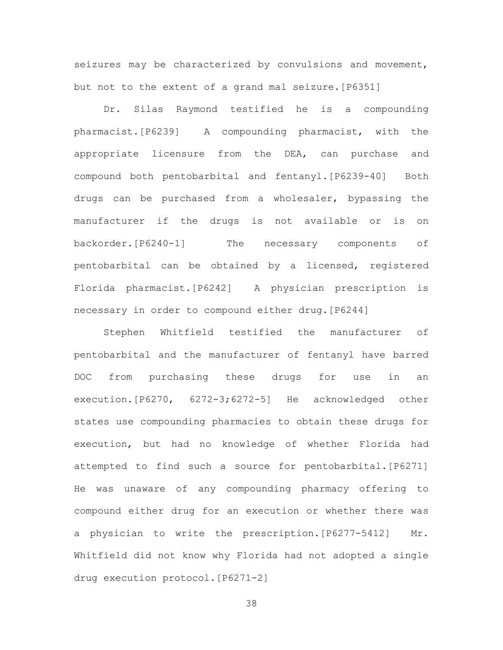seizures may be characterized by convulsions and movement, but not to the extent of a grand mal seizure.[P6351]

Dr. Silas Raymond testified he is a compounding pharmacist.[P6239] A compounding pharmacist, with the appropriate licensure from the DEA, can purchase and compound both pentobarbital and fentanyl. [P6239-40] Both drugs can be purchased from a wholesaler, bypassing the manufacturer if the drugs is not available or is on backorder.[P6240-1] The necessary components of pentobarbital can be obtained by a licensed, registered Florida pharmacist.[P6242] A physician prescription is necessary in order to compound either drug.[P6244]

Stephen Whitfield testified the manufacturer of pentobarbital and the manufacturer of fentanyl have barred DOC from purchasing these drugs for use in an execution.[P6270, 6272-3;6272-5] He acknowledged other states use compounding pharmacies to obtain these drugs for execution, but had no knowledge of whether Florida had attempted to find such a source for pentobarbital.[P6271] He was unaware of any compounding pharmacy offering to compound either drug for an execution or whether there was a physician to write the prescription.[P6277-5412] Mr. Whitfield did not know why Florida had not adopted a single drug execution protocol.[P6271-2]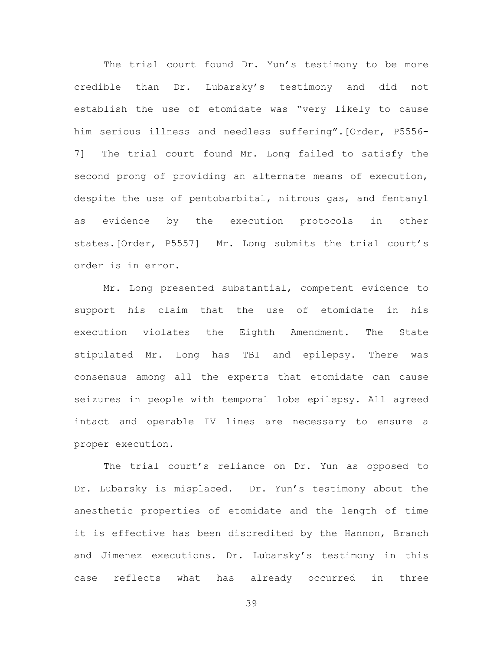The trial court found Dr. Yun's testimony to be more credible than Dr. Lubarsky's testimony and did not establish the use of etomidate was "very likely to cause him serious illness and needless suffering".[Order, P5556- 7] The trial court found Mr. Long failed to satisfy the second prong of providing an alternate means of execution, despite the use of pentobarbital, nitrous gas, and fentanyl as evidence by the execution protocols in other states.[Order, P5557] Mr. Long submits the trial court's order is in error.

Mr. Long presented substantial, competent evidence to support his claim that the use of etomidate in his execution violates the Eighth Amendment. The State stipulated Mr. Long has TBI and epilepsy. There was consensus among all the experts that etomidate can cause seizures in people with temporal lobe epilepsy. All agreed intact and operable IV lines are necessary to ensure a proper execution.

The trial court's reliance on Dr. Yun as opposed to Dr. Lubarsky is misplaced. Dr. Yun's testimony about the anesthetic properties of etomidate and the length of time it is effective has been discredited by the Hannon, Branch and Jimenez executions. Dr. Lubarsky's testimony in this case reflects what has already occurred in three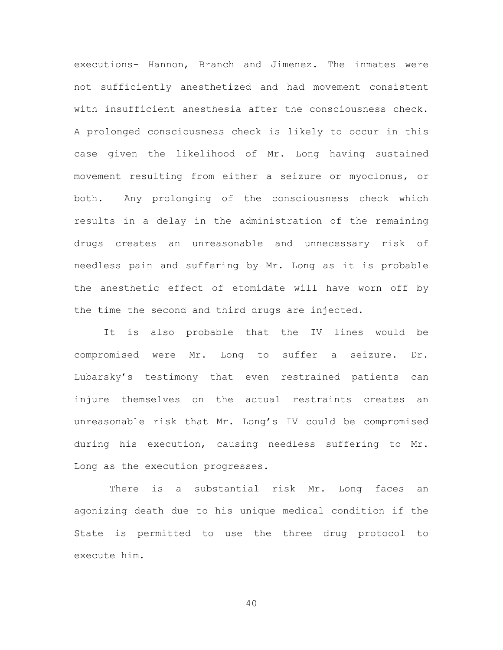executions- Hannon, Branch and Jimenez. The inmates were not sufficiently anesthetized and had movement consistent with insufficient anesthesia after the consciousness check. A prolonged consciousness check is likely to occur in this case given the likelihood of Mr. Long having sustained movement resulting from either a seizure or myoclonus, or both. Any prolonging of the consciousness check which results in a delay in the administration of the remaining drugs creates an unreasonable and unnecessary risk of needless pain and suffering by Mr. Long as it is probable the anesthetic effect of etomidate will have worn off by the time the second and third drugs are injected.

It is also probable that the IV lines would be compromised were Mr. Long to suffer a seizure. Dr. Lubarsky's testimony that even restrained patients can injure themselves on the actual restraints creates an unreasonable risk that Mr. Long's IV could be compromised during his execution, causing needless suffering to Mr. Long as the execution progresses.

There is a substantial risk Mr. Long faces an agonizing death due to his unique medical condition if the State is permitted to use the three drug protocol to execute him.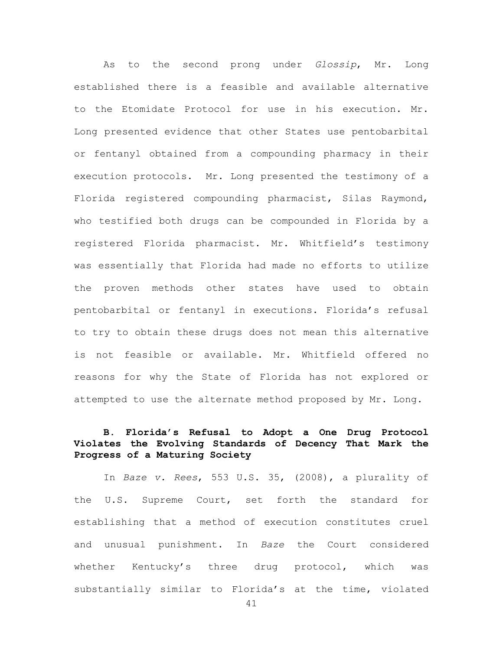As to the second prong under *Glossip*, Mr. Long established there is a feasible and available alternative to the Etomidate Protocol for use in his execution. Mr. Long presented evidence that other States use pentobarbital or fentanyl obtained from a compounding pharmacy in their execution protocols. Mr. Long presented the testimony of a Florida registered compounding pharmacist, Silas Raymond, who testified both drugs can be compounded in Florida by a registered Florida pharmacist. Mr. Whitfield's testimony was essentially that Florida had made no efforts to utilize the proven methods other states have used to obtain pentobarbital or fentanyl in executions. Florida's refusal to try to obtain these drugs does not mean this alternative is not feasible or available. Mr. Whitfield offered no reasons for why the State of Florida has not explored or attempted to use the alternate method proposed by Mr. Long.

## **B. Florida's Refusal to Adopt a One Drug Protocol Violates the Evolving Standards of Decency That Mark the Progress of a Maturing Society**

In *Baze v. Rees*, 553 U.S. 35, (2008), a plurality of the U.S. Supreme Court, set forth the standard for establishing that a method of execution constitutes cruel and unusual punishment. In *Baze* the Court considered whether Kentucky's three drug protocol, which was substantially similar to Florida's at the time, violated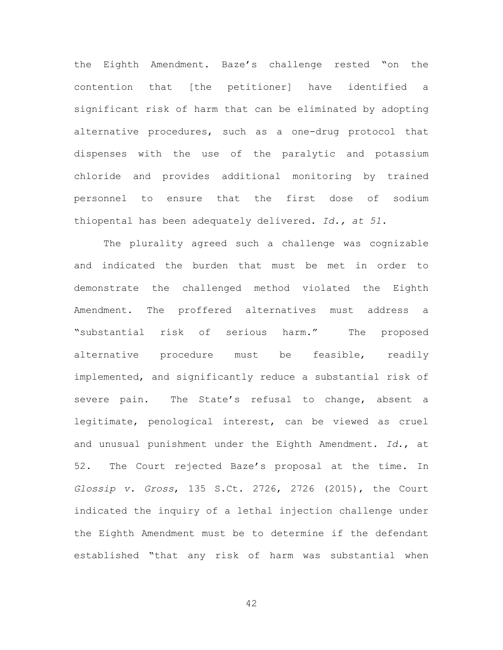the Eighth Amendment. Baze's challenge rested "on the contention that [the petitioner] have identified a significant risk of harm that can be eliminated by adopting alternative procedures, such as a one-drug protocol that dispenses with the use of the paralytic and potassium chloride and provides additional monitoring by trained personnel to ensure that the first dose of sodium thiopental has been adequately delivered. *Id., at 51.*

The plurality agreed such a challenge was cognizable and indicated the burden that must be met in order to demonstrate the challenged method violated the Eighth Amendment. The proffered alternatives must address a "substantial risk of serious harm." The proposed alternative procedure must be feasible, readily implemented, and significantly reduce a substantial risk of severe pain. The State's refusal to change, absent a legitimate, penological interest, can be viewed as cruel and unusual punishment under the Eighth Amendment. *Id*., at 52. The Court rejected Baze's proposal at the time. In *Glossip v. Gross*, 135 S.Ct. 2726, 2726 (2015), the Court indicated the inquiry of a lethal injection challenge under the Eighth Amendment must be to determine if the defendant established "that any risk of harm was substantial when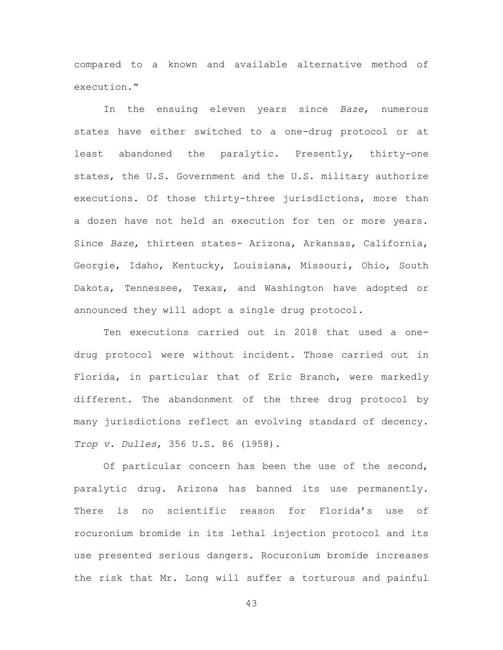compared to a known and available alternative method of execution."

In the ensuing eleven years since *Baze*, numerous states have either switched to a one-drug protocol or at least abandoned the paralytic. Presently, thirty-one states, the U.S. Government and the U.S. military authorize executions. Of those thirty-three jurisdictions, more than a dozen have not held an execution for ten or more years. Since *Baze*, thirteen states- Arizona, Arkansas, California, Georgie, Idaho, Kentucky, Louisiana, Missouri, Ohio, South Dakota, Tennessee, Texas, and Washington have adopted or announced they will adopt a single drug protocol.

Ten executions carried out in 2018 that used a onedrug protocol were without incident. Those carried out in Florida, in particular that of Eric Branch, were markedly different. The abandonment of the three drug protocol by many jurisdictions reflect an evolving standard of decency. *Trop v. Dulles*, 356 U.S. 86 (1958).

Of particular concern has been the use of the second, paralytic drug. Arizona has banned its use permanently. There is no scientific reason for Florida's use of rocuronium bromide in its lethal injection protocol and its use presented serious dangers. Rocuronium bromide increases the risk that Mr. Long will suffer a torturous and painful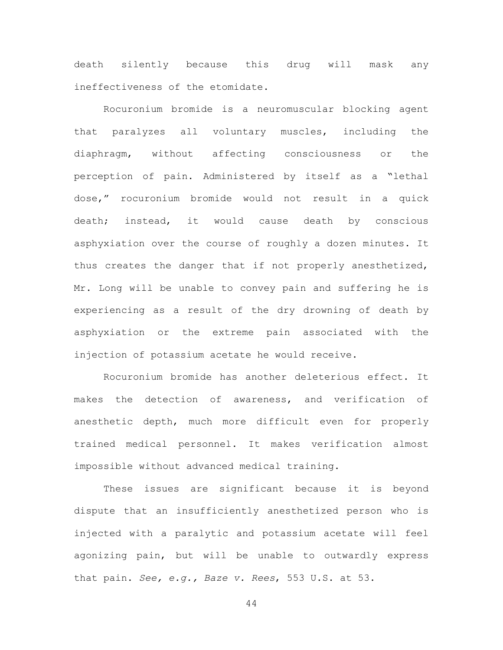death silently because this drug will mask any ineffectiveness of the etomidate.

Rocuronium bromide is a neuromuscular blocking agent that paralyzes all voluntary muscles, including the diaphragm, without affecting consciousness or the perception of pain. Administered by itself as a "lethal dose," rocuronium bromide would not result in a quick death; instead, it would cause death by conscious asphyxiation over the course of roughly a dozen minutes. It thus creates the danger that if not properly anesthetized, Mr. Long will be unable to convey pain and suffering he is experiencing as a result of the dry drowning of death by asphyxiation or the extreme pain associated with the injection of potassium acetate he would receive.

Rocuronium bromide has another deleterious effect. It makes the detection of awareness, and verification of anesthetic depth, much more difficult even for properly trained medical personnel. It makes verification almost impossible without advanced medical training.

These issues are significant because it is beyond dispute that an insufficiently anesthetized person who is injected with a paralytic and potassium acetate will feel agonizing pain, but will be unable to outwardly express that pain. *See, e.g., Baze v. Rees*, 553 U.S. at 53.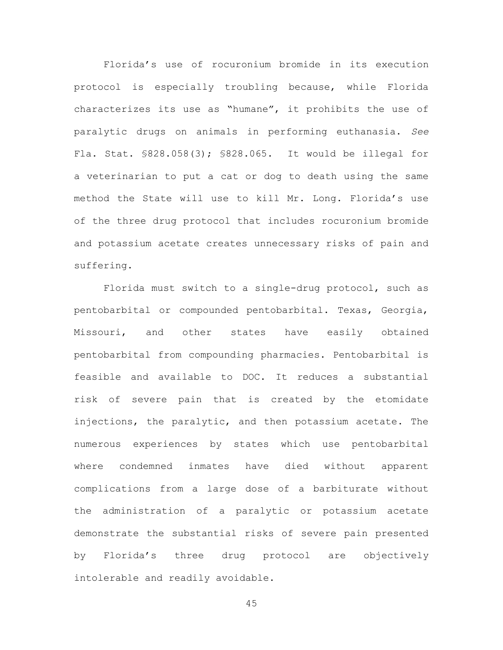Florida's use of rocuronium bromide in its execution protocol is especially troubling because, while Florida characterizes its use as "humane", it prohibits the use of paralytic drugs on animals in performing euthanasia. *See* Fla. Stat. §828.058(3); §828.065. It would be illegal for a veterinarian to put a cat or dog to death using the same method the State will use to kill Mr. Long. Florida's use of the three drug protocol that includes rocuronium bromide and potassium acetate creates unnecessary risks of pain and suffering.

Florida must switch to a single-drug protocol, such as pentobarbital or compounded pentobarbital. Texas, Georgia, Missouri, and other states have easily obtained pentobarbital from compounding pharmacies. Pentobarbital is feasible and available to DOC. It reduces a substantial risk of severe pain that is created by the etomidate injections, the paralytic, and then potassium acetate. The numerous experiences by states which use pentobarbital where condemned inmates have died without apparent complications from a large dose of a barbiturate without the administration of a paralytic or potassium acetate demonstrate the substantial risks of severe pain presented by Florida's three drug protocol are objectively intolerable and readily avoidable.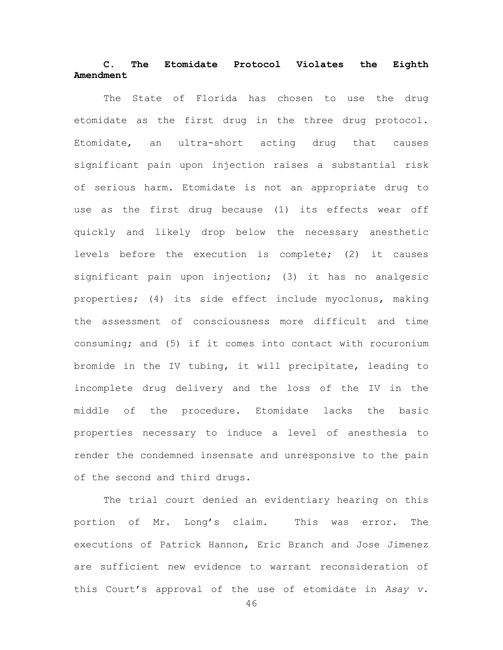# **C. The Etomidate Protocol Violates the Eighth Amendment**

The State of Florida has chosen to use the drug etomidate as the first drug in the three drug protocol. Etomidate, an ultra-short acting drug that causes significant pain upon injection raises a substantial risk of serious harm. Etomidate is not an appropriate drug to use as the first drug because (1) its effects wear off quickly and likely drop below the necessary anesthetic levels before the execution is complete; (2) it causes significant pain upon injection; (3) it has no analgesic properties; (4) its side effect include myoclonus, making the assessment of consciousness more difficult and time consuming; and (5) if it comes into contact with rocuronium bromide in the IV tubing, it will precipitate, leading to incomplete drug delivery and the loss of the IV in the middle of the procedure. Etomidate lacks the basic properties necessary to induce a level of anesthesia to render the condemned insensate and unresponsive to the pain of the second and third drugs.

The trial court denied an evidentiary hearing on this portion of Mr. Long's claim. This was error. The executions of Patrick Hannon, Eric Branch and Jose Jimenez are sufficient new evidence to warrant reconsideration of this Court's approval of the use of etomidate in *Asay v.*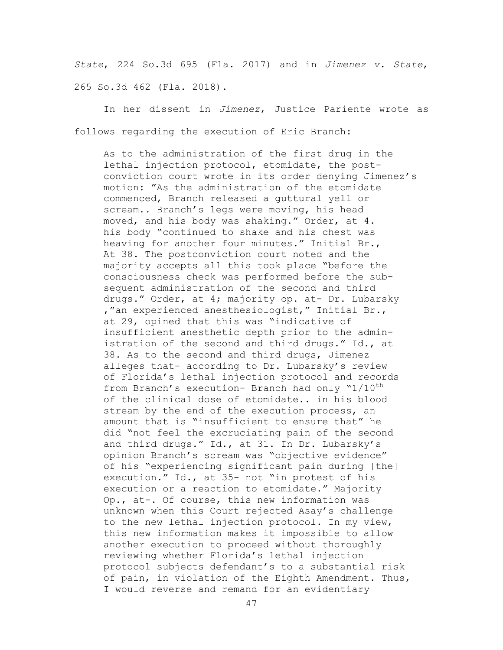*State*, 224 So.3d 695 (Fla. 2017) and in *Jimenez v. State*, 265 So.3d 462 (Fla. 2018).

In her dissent in *Jimenez*, Justice Pariente wrote as follows regarding the execution of Eric Branch:

As to the administration of the first drug in the lethal injection protocol, etomidate, the postconviction court wrote in its order denying Jimenez's motion: "As the administration of the etomidate commenced, Branch released a guttural yell or scream.. Branch's legs were moving, his head moved, and his body was shaking." Order, at 4. his body "continued to shake and his chest was heaving for another four minutes." Initial Br., At 38. The postconviction court noted and the majority accepts all this took place "before the consciousness check was performed before the subsequent administration of the second and third drugs." Order, at 4; majority op. at- Dr. Lubarsky ,"an experienced anesthesiologist," Initial Br., at 29, opined that this was "indicative of insufficient anesthetic depth prior to the administration of the second and third drugs." Id., at 38. As to the second and third drugs, Jimenez alleges that- according to Dr. Lubarsky's review of Florida's lethal injection protocol and records from Branch's execution- Branch had only "1/10<sup>th</sup> of the clinical dose of etomidate.. in his blood stream by the end of the execution process, an amount that is "insufficient to ensure that" he did "not feel the excruciating pain of the second and third drugs." Id., at 31. In Dr. Lubarsky's opinion Branch's scream was "objective evidence" of his "experiencing significant pain during [the] execution." Id., at 35- not "in protest of his execution or a reaction to etomidate." Majority Op., at-. Of course, this new information was unknown when this Court rejected Asay's challenge to the new lethal injection protocol. In my view, this new information makes it impossible to allow another execution to proceed without thoroughly reviewing whether Florida's lethal injection protocol subjects defendant's to a substantial risk of pain, in violation of the Eighth Amendment. Thus, I would reverse and remand for an evidentiary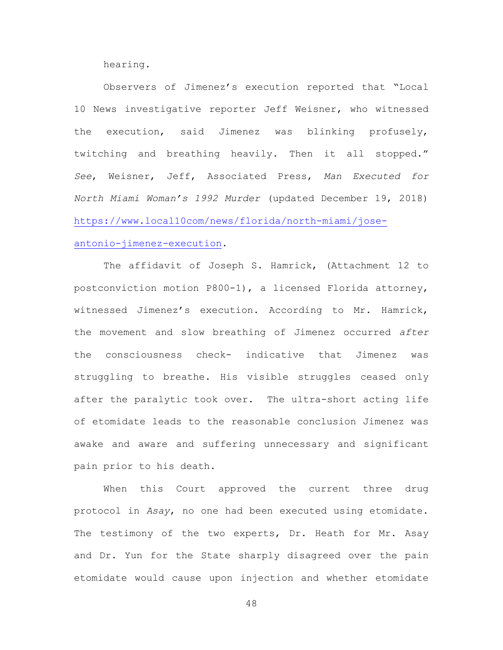hearing.

Observers of Jimenez's execution reported that "Local 10 News investigative reporter Jeff Weisner, who witnessed the execution, said Jimenez was blinking profusely, twitching and breathing heavily. Then it all stopped." *See*, Weisner, Jeff, Associated Press, *Man Executed for North Miami Woman's 1992 Murder* (updated December 19, 2018) [https://www.local10com/news/florida/north-miami/jose](https://www.local10com/news/florida/north-miami/jose-antonio-jimenez-execution)[antonio-jimenez-execution.](https://www.local10com/news/florida/north-miami/jose-antonio-jimenez-execution)

The affidavit of Joseph S. Hamrick, (Attachment 12 to postconviction motion P800-1), a licensed Florida attorney, witnessed Jimenez's execution. According to Mr. Hamrick, the movement and slow breathing of Jimenez occurred *after* the consciousness check- indicative that Jimenez was struggling to breathe. His visible struggles ceased only after the paralytic took over. The ultra-short acting life of etomidate leads to the reasonable conclusion Jimenez was awake and aware and suffering unnecessary and significant pain prior to his death.

When this Court approved the current three drug protocol in *Asay*, no one had been executed using etomidate. The testimony of the two experts, Dr. Heath for Mr. Asay and Dr. Yun for the State sharply disagreed over the pain etomidate would cause upon injection and whether etomidate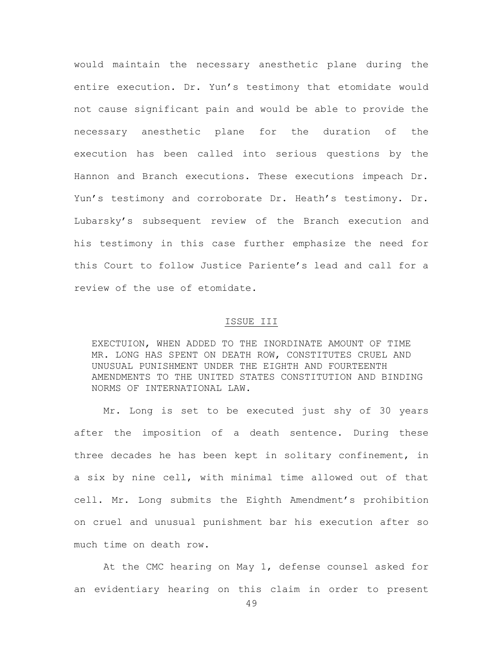would maintain the necessary anesthetic plane during the entire execution. Dr. Yun's testimony that etomidate would not cause significant pain and would be able to provide the necessary anesthetic plane for the duration of the execution has been called into serious questions by the Hannon and Branch executions. These executions impeach Dr. Yun's testimony and corroborate Dr. Heath's testimony. Dr. Lubarsky's subsequent review of the Branch execution and his testimony in this case further emphasize the need for this Court to follow Justice Pariente's lead and call for a review of the use of etomidate.

### ISSUE III

EXECTUION, WHEN ADDED TO THE INORDINATE AMOUNT OF TIME MR. LONG HAS SPENT ON DEATH ROW, CONSTITUTES CRUEL AND UNUSUAL PUNISHMENT UNDER THE EIGHTH AND FOURTEENTH AMENDMENTS TO THE UNITED STATES CONSTITUTION AND BINDING NORMS OF INTERNATIONAL LAW.

Mr. Long is set to be executed just shy of 30 years after the imposition of a death sentence. During these three decades he has been kept in solitary confinement, in a six by nine cell, with minimal time allowed out of that cell. Mr. Long submits the Eighth Amendment's prohibition on cruel and unusual punishment bar his execution after so much time on death row.

At the CMC hearing on May 1, defense counsel asked for an evidentiary hearing on this claim in order to present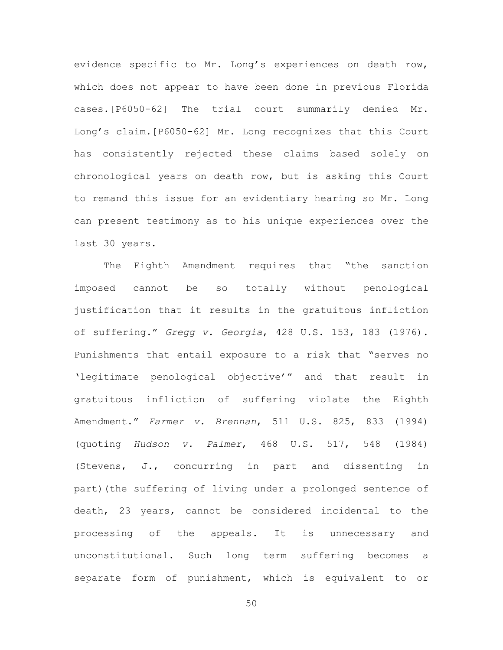evidence specific to Mr. Long's experiences on death row, which does not appear to have been done in previous Florida cases.[P6050-62] The trial court summarily denied Mr. Long's claim.[P6050-62] Mr. Long recognizes that this Court has consistently rejected these claims based solely on chronological years on death row, but is asking this Court to remand this issue for an evidentiary hearing so Mr. Long can present testimony as to his unique experiences over the last 30 years.

The Eighth Amendment requires that "the sanction imposed cannot be so totally without penological justification that it results in the gratuitous infliction of suffering." *Gregg v. Georgia*, 428 U.S. 153, 183 (1976). Punishments that entail exposure to a risk that "serves no 'legitimate penological objective'" and that result in gratuitous infliction of suffering violate the Eighth Amendment." *Farmer v. Brennan*, 511 U.S. 825, 833 (1994) (quoting *Hudson v. Palmer*, 468 U.S. 517, 548 (1984) (Stevens, J., concurring in part and dissenting in part)(the suffering of living under a prolonged sentence of death, 23 years, cannot be considered incidental to the processing of the appeals. It is unnecessary and unconstitutional. Such long term suffering becomes a separate form of punishment, which is equivalent to or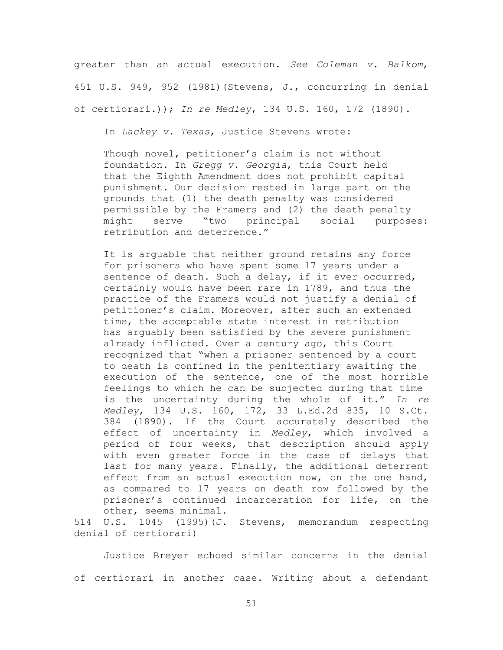greater than an actual execution. *See Coleman v. Balkom*, 451 U.S. 949, 952 (1981)(Stevens, J., concurring in denial of certiorari.)); *In re Medley*, 134 U.S. 160, 172 (1890).

In *Lackey v. Texas*, Justice Stevens wrote:

Though novel, petitioner's claim is not without foundation. In *Gregg v. Georgia*, this Court held that the Eighth Amendment does not prohibit capital punishment. Our decision rested in large part on the grounds that (1) the death penalty was considered permissible by the Framers and (2) the death penalty might serve "two principal social purposes: retribution and deterrence."

It is arguable that neither ground retains any force for prisoners who have spent some 17 years under a sentence of death. Such a delay, if it ever occurred, certainly would have been rare in 1789, and thus the practice of the Framers would not justify a denial of petitioner's claim. Moreover, after such an extended time, the acceptable state interest in retribution has arguably been satisfied by the severe punishment already inflicted. Over a century ago, this Court recognized that "when a prisoner sentenced by a court to death is confined in the penitentiary awaiting the execution of the sentence, one of the most horrible feelings to which he can be subjected during that time is the uncertainty during the whole of it." *In re Medley*, 134 U.S. 160, 172, 33 L.Ed.2d 835, 10 S.Ct. 384 (1890). If the Court accurately described the effect of uncertainty in *Medley*, which involved a period of four weeks, that description should apply with even greater force in the case of delays that last for many years. Finally, the additional deterrent effect from an actual execution now, on the one hand, as compared to 17 years on death row followed by the prisoner's continued incarceration for life, on the other, seems minimal.

514 U.S. 1045 (1995)(J. Stevens, memorandum respecting denial of certiorari)

Justice Breyer echoed similar concerns in the denial of certiorari in another case. Writing about a defendant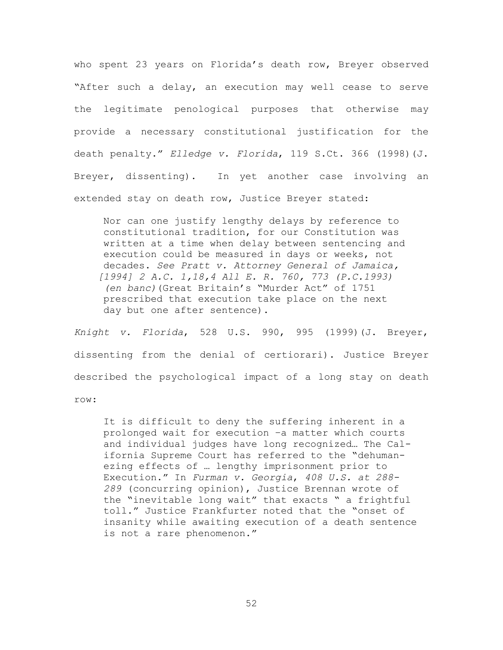who spent 23 years on Florida's death row, Breyer observed "After such a delay, an execution may well cease to serve the legitimate penological purposes that otherwise may provide a necessary constitutional justification for the death penalty." *Elledge v. Florida*, 119 S.Ct. 366 (1998)(J. Breyer, dissenting). In yet another case involving an extended stay on death row, Justice Breyer stated:

Nor can one justify lengthy delays by reference to constitutional tradition, for our Constitution was written at a time when delay between sentencing and execution could be measured in days or weeks, not decades. *See Pratt v. Attorney General of Jamaica, [1994] 2 A.C. 1,18,4 All E. R. 760, 773 (P.C.1993) (en banc)*(Great Britain's "Murder Act" of 1751 prescribed that execution take place on the next day but one after sentence).

*Knight v. Florida*, 528 U.S. 990, 995 (1999)(J. Breyer, dissenting from the denial of certiorari). Justice Breyer described the psychological impact of a long stay on death row:

It is difficult to deny the suffering inherent in a prolonged wait for execution –a matter which courts and individual judges have long recognized… The California Supreme Court has referred to the "dehumanezing effects of … lengthy imprisonment prior to Execution." In *Furman v. Georgia*, *408 U.S. at 288- 289* (concurring opinion), Justice Brennan wrote of the "inevitable long wait" that exacts " a frightful toll." Justice Frankfurter noted that the "onset of insanity while awaiting execution of a death sentence is not a rare phenomenon."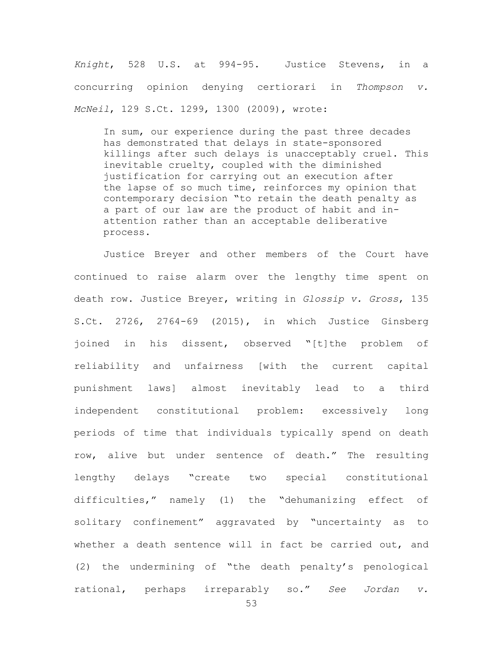*Knight*, 528 U.S. at 994-95. Justice Stevens, in a concurring opinion denying certiorari in *Thompson v. McNeil*, 129 S.Ct. 1299, 1300 (2009), wrote:

In sum, our experience during the past three decades has demonstrated that delays in state-sponsored killings after such delays is unacceptably cruel. This inevitable cruelty, coupled with the diminished justification for carrying out an execution after the lapse of so much time, reinforces my opinion that contemporary decision "to retain the death penalty as a part of our law are the product of habit and inattention rather than an acceptable deliberative process.

Justice Breyer and other members of the Court have continued to raise alarm over the lengthy time spent on death row. Justice Breyer, writing in *Glossip v. Gross*, 135 S.Ct. 2726, 2764-69 (2015), in which Justice Ginsberg joined in his dissent, observed "[t]the problem of reliability and unfairness [with the current capital punishment laws] almost inevitably lead to a third independent constitutional problem: excessively long periods of time that individuals typically spend on death row, alive but under sentence of death." The resulting lengthy delays "create two special constitutional difficulties," namely (1) the "dehumanizing effect of solitary confinement" aggravated by "uncertainty as to whether a death sentence will in fact be carried out, and (2) the undermining of "the death penalty's penological rational, perhaps irreparably so." *See Jordan v.*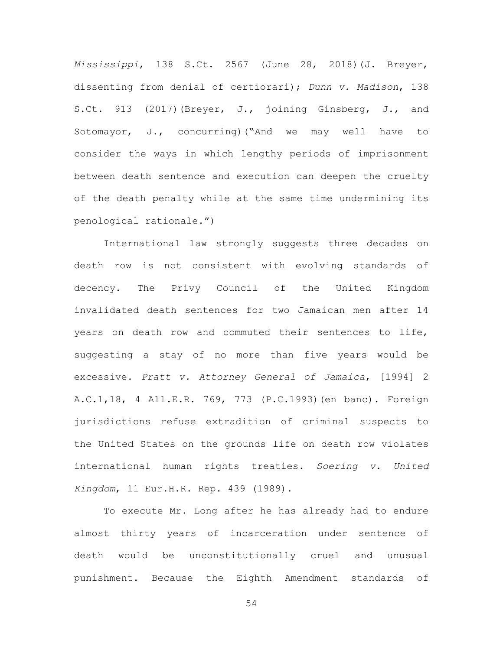*Mississippi*, 138 S.Ct. 2567 (June 28, 2018)(J. Breyer, dissenting from denial of certiorari); *Dunn v. Madison*, 138 S.Ct. 913 (2017)(Breyer, J., joining Ginsberg, J., and Sotomayor, J., concurring)("And we may well have to consider the ways in which lengthy periods of imprisonment between death sentence and execution can deepen the cruelty of the death penalty while at the same time undermining its penological rationale.")

International law strongly suggests three decades on death row is not consistent with evolving standards of decency. The Privy Council of the United Kingdom invalidated death sentences for two Jamaican men after 14 years on death row and commuted their sentences to life, suggesting a stay of no more than five years would be excessive. *Pratt v. Attorney General of Jamaica*, [1994] 2 A.C.1,18, 4 All.E.R. 769, 773 (P.C.1993)(en banc). Foreign jurisdictions refuse extradition of criminal suspects to the United States on the grounds life on death row violates international human rights treaties. *Soering v. United Kingdom*, 11 Eur.H.R. Rep. 439 (1989).

To execute Mr. Long after he has already had to endure almost thirty years of incarceration under sentence of death would be unconstitutionally cruel and unusual punishment. Because the Eighth Amendment standards of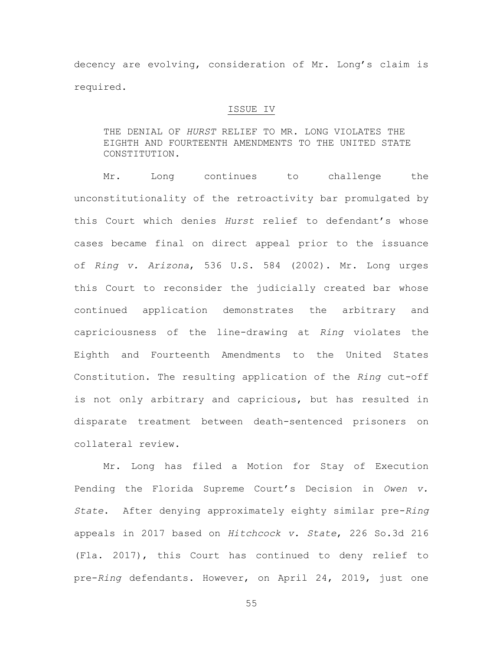decency are evolving, consideration of Mr. Long's claim is required.

### ISSUE IV

THE DENIAL OF *HURST* RELIEF TO MR. LONG VIOLATES THE EIGHTH AND FOURTEENTH AMENDMENTS TO THE UNITED STATE CONSTITUTION.

Mr. Long continues to challenge the unconstitutionality of the retroactivity bar promulgated by this Court which denies *Hurst* relief to defendant's whose cases became final on direct appeal prior to the issuance of *Ring v. Arizona*, 536 U.S. 584 (2002). Mr. Long urges this Court to reconsider the judicially created bar whose continued application demonstrates the arbitrary and capriciousness of the line-drawing at *Ring* violates the Eighth and Fourteenth Amendments to the United States Constitution. The resulting application of the *Ring* cut-off is not only arbitrary and capricious, but has resulted in disparate treatment between death-sentenced prisoners on collateral review.

Mr. Long has filed a Motion for Stay of Execution Pending the Florida Supreme Court's Decision in *Owen v. State*. After denying approximately eighty similar pre-*Ring* appeals in 2017 based on *Hitchcock v. State*, 226 So.3d 216 (Fla. 2017), this Court has continued to deny relief to pre-*Ring* defendants. However, on April 24, 2019, just one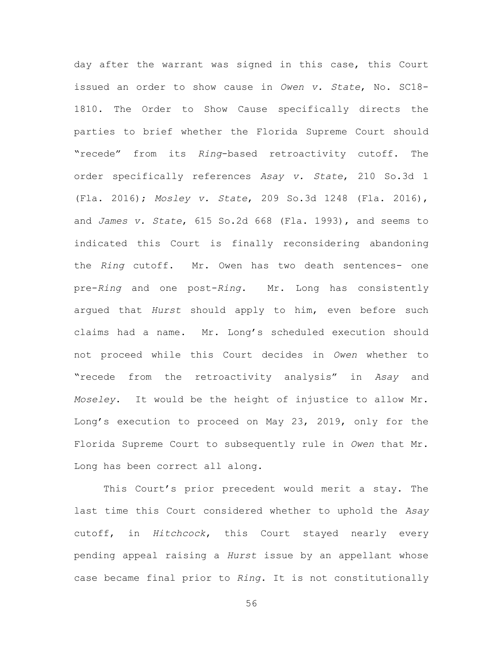day after the warrant was signed in this case, this Court issued an order to show cause in *Owen v. State*, No. SC18- 1810. The Order to Show Cause specifically directs the parties to brief whether the Florida Supreme Court should "recede" from its *Ring*-based retroactivity cutoff. The order specifically references *Asay v. State*, 210 So.3d 1 (Fla. 2016); *Mosley v. State*, 209 So.3d 1248 (Fla. 2016), and *James v. State*, 615 So.2d 668 (Fla. 1993), and seems to indicated this Court is finally reconsidering abandoning the *Ring* cutoff. Mr. Owen has two death sentences- one pre-*Ring* and one post-*Ring*. Mr. Long has consistently argued that *Hurst* should apply to him, even before such claims had a name. Mr. Long's scheduled execution should not proceed while this Court decides in *Owen* whether to "recede from the retroactivity analysis" in *Asay* and *Moseley*. It would be the height of injustice to allow Mr. Long's execution to proceed on May 23, 2019, only for the Florida Supreme Court to subsequently rule in *Owen* that Mr. Long has been correct all along.

This Court's prior precedent would merit a stay. The last time this Court considered whether to uphold the *Asay* cutoff, in *Hitchcock*, this Court stayed nearly every pending appeal raising a *Hurst* issue by an appellant whose case became final prior to *Ring*. It is not constitutionally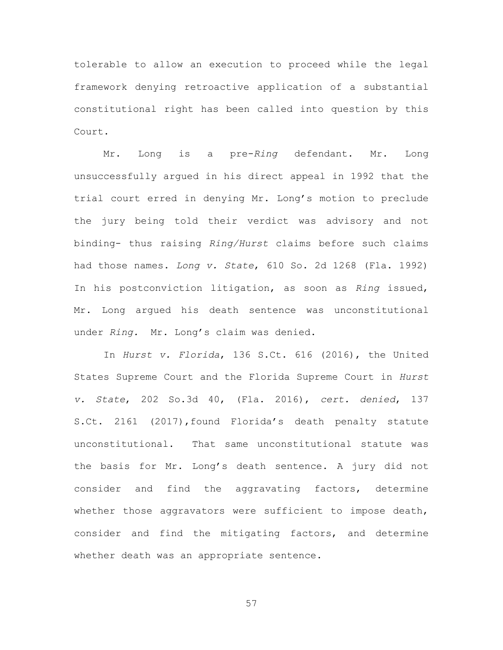tolerable to allow an execution to proceed while the legal framework denying retroactive application of a substantial constitutional right has been called into question by this Court.

Mr. Long is a pre-*Ring* defendant. Mr. Long unsuccessfully argued in his direct appeal in 1992 that the trial court erred in denying Mr. Long's motion to preclude the jury being told their verdict was advisory and not binding- thus raising *Ring/Hurst* claims before such claims had those names. *Long v. State*, 610 So. 2d 1268 (Fla. 1992) In his postconviction litigation, as soon as *Ring* issued, Mr. Long argued his death sentence was unconstitutional under *Ring.* Mr. Long's claim was denied.

In *Hurst v. Florida*, 136 S.Ct. 616 (2016), the United States Supreme Court and the Florida Supreme Court in *Hurst v. State*, 202 So.3d 40, (Fla. 2016), *cert. denied*, 137 S.Ct. 2161 (2017),found Florida's death penalty statute unconstitutional. That same unconstitutional statute was the basis for Mr. Long's death sentence. A jury did not consider and find the aggravating factors, determine whether those aggravators were sufficient to impose death, consider and find the mitigating factors, and determine whether death was an appropriate sentence.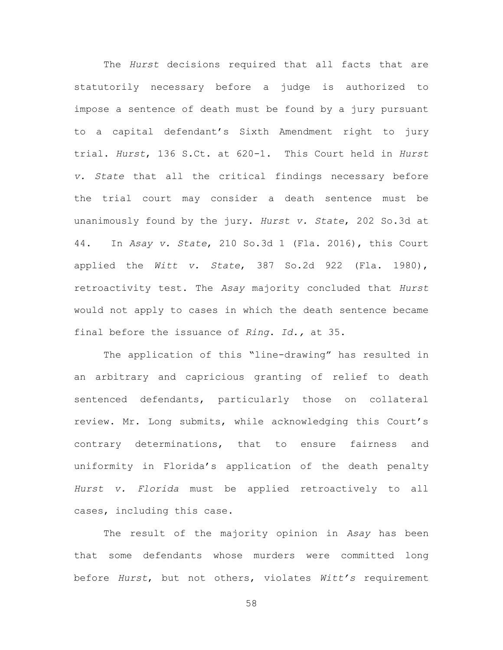The *Hurst* decisions required that all facts that are statutorily necessary before a judge is authorized to impose a sentence of death must be found by a jury pursuant to a capital defendant's Sixth Amendment right to jury trial. *Hurst*, 136 S.Ct. at 620-1. This Court held in *Hurst v. State* that all the critical findings necessary before the trial court may consider a death sentence must be unanimously found by the jury. *Hurst v. State*, 202 So.3d at 44. In *Asay v. State*, 210 So.3d 1 (Fla. 2016), this Court applied the *Witt v. State*, 387 So.2d 922 (Fla. 1980), retroactivity test. The *Asay* majority concluded that *Hurst* would not apply to cases in which the death sentence became final before the issuance of *Ring*. *Id.,* at 35.

The application of this "line-drawing" has resulted in an arbitrary and capricious granting of relief to death sentenced defendants, particularly those on collateral review. Mr. Long submits, while acknowledging this Court's contrary determinations, that to ensure fairness and uniformity in Florida's application of the death penalty *Hurst v. Florida* must be applied retroactively to all cases, including this case.

The result of the majority opinion in *Asay* has been that some defendants whose murders were committed long before *Hurst*, but not others, violates *Witt's* requirement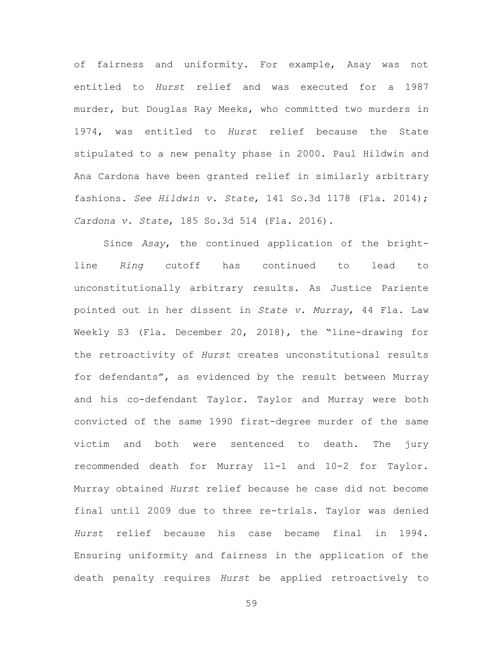of fairness and uniformity. For example, Asay was not entitled to *Hurst* relief and was executed for a 1987 murder, but Douglas Ray Meeks, who committed two murders in 1974, was entitled to *Hurst* relief because the State stipulated to a new penalty phase in 2000. Paul Hildwin and Ana Cardona have been granted relief in similarly arbitrary fashions. *See Hildwin v. State*, 141 So.3d 1178 (Fla. 2014); *Cardona v. State*, 185 So.3d 514 (Fla. 2016).

Since *Asay*, the continued application of the brightline *Ring* cutoff has continued to lead to unconstitutionally arbitrary results. As Justice Pariente pointed out in her dissent in *State v. Murray*, 44 Fla. Law Weekly S3 (Fla. December 20, 2018), the "line-drawing for the retroactivity of *Hurst* creates unconstitutional results for defendants", as evidenced by the result between Murray and his co-defendant Taylor. Taylor and Murray were both convicted of the same 1990 first-degree murder of the same victim and both were sentenced to death. The jury recommended death for Murray 11-1 and 10-2 for Taylor. Murray obtained *Hurst* relief because he case did not become final until 2009 due to three re-trials. Taylor was denied *Hurst* relief because his case became final in 1994. Ensuring uniformity and fairness in the application of the death penalty requires *Hurst* be applied retroactively to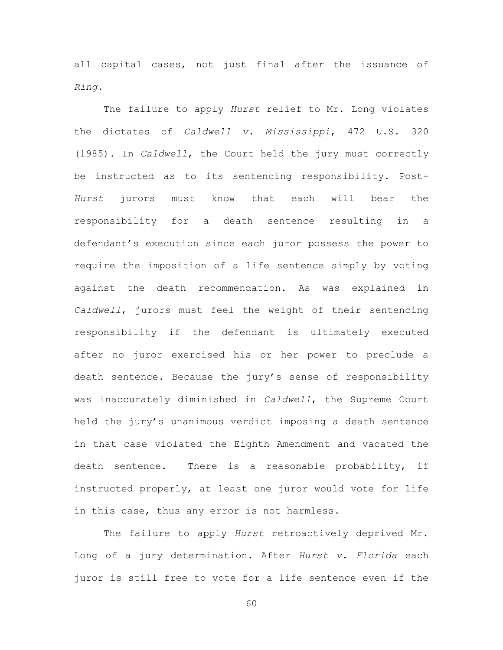all capital cases, not just final after the issuance of *Ring*.

The failure to apply *Hurst* relief to Mr. Long violates the dictates of *Caldwell v. Mississippi*, 472 U.S. 320 (1985). In *Caldwell*, the Court held the jury must correctly be instructed as to its sentencing responsibility. Post-*Hurst* jurors must know that each will bear the responsibility for a death sentence resulting in a defendant's execution since each juror possess the power to require the imposition of a life sentence simply by voting against the death recommendation. As was explained in *Caldwell*, jurors must feel the weight of their sentencing responsibility if the defendant is ultimately executed after no juror exercised his or her power to preclude a death sentence. Because the jury's sense of responsibility was inaccurately diminished in *Caldwell*, the Supreme Court held the jury's unanimous verdict imposing a death sentence in that case violated the Eighth Amendment and vacated the death sentence. There is a reasonable probability, if instructed properly, at least one juror would vote for life in this case, thus any error is not harmless.

The failure to apply *Hurst* retroactively deprived Mr. Long of a jury determination. After *Hurst v. Florida* each juror is still free to vote for a life sentence even if the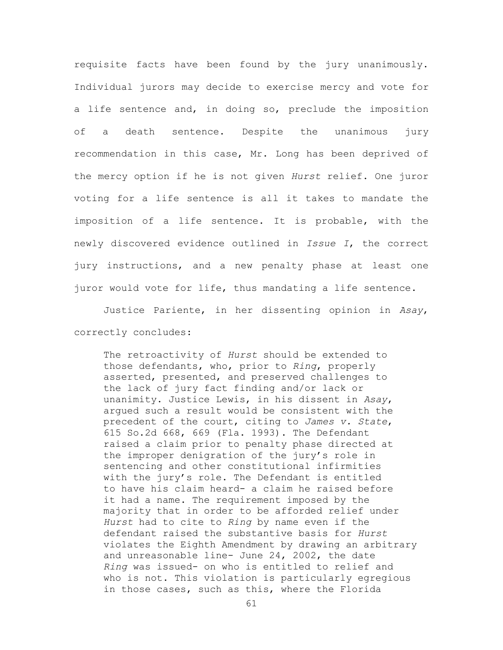requisite facts have been found by the jury unanimously. Individual jurors may decide to exercise mercy and vote for a life sentence and, in doing so, preclude the imposition of a death sentence. Despite the unanimous jury recommendation in this case, Mr. Long has been deprived of the mercy option if he is not given *Hurst* relief. One juror voting for a life sentence is all it takes to mandate the imposition of a life sentence. It is probable, with the newly discovered evidence outlined in *Issue I*, the correct jury instructions, and a new penalty phase at least one juror would vote for life, thus mandating a life sentence.

Justice Pariente, in her dissenting opinion in *Asay*, correctly concludes:

The retroactivity of *Hurst* should be extended to those defendants, who, prior to *Ring*, properly asserted, presented, and preserved challenges to the lack of jury fact finding and/or lack or unanimity. Justice Lewis, in his dissent in *Asay*, argued such a result would be consistent with the precedent of the court, citing to *James v. State*, 615 So.2d 668, 669 (Fla. 1993). The Defendant raised a claim prior to penalty phase directed at the improper denigration of the jury's role in sentencing and other constitutional infirmities with the jury's role. The Defendant is entitled to have his claim heard- a claim he raised before it had a name. The requirement imposed by the majority that in order to be afforded relief under *Hurst* had to cite to *Ring* by name even if the defendant raised the substantive basis for *Hurst* violates the Eighth Amendment by drawing an arbitrary and unreasonable line- June 24, 2002, the date *Ring* was issued- on who is entitled to relief and who is not. This violation is particularly egregious in those cases, such as this, where the Florida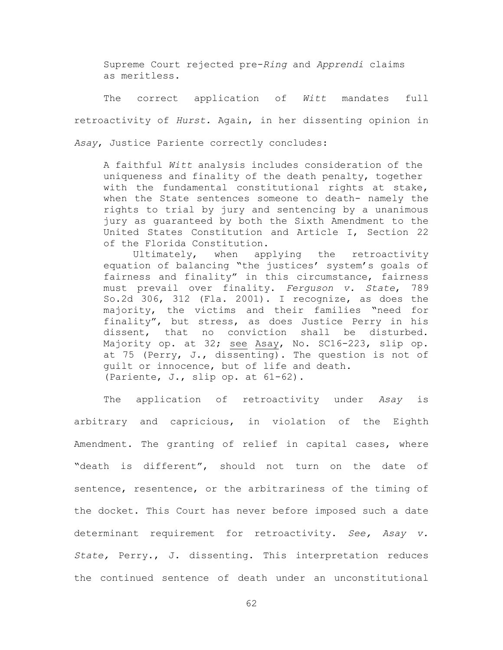Supreme Court rejected pre-*Ring* and *Apprendi* claims as meritless.

The correct application of *Witt* mandates full retroactivity of *Hurst.* Again, in her dissenting opinion in *Asay*, Justice Pariente correctly concludes:

A faithful *Witt* analysis includes consideration of the uniqueness and finality of the death penalty, together with the fundamental constitutional rights at stake, when the State sentences someone to death- namely the rights to trial by jury and sentencing by a unanimous jury as guaranteed by both the Sixth Amendment to the United States Constitution and Article I, Section 22 of the Florida Constitution.

Ultimately, when applying the retroactivity equation of balancing "the justices' system's goals of fairness and finality" in this circumstance, fairness must prevail over finality. *Ferguson v. State*, 789 So.2d 306, 312 (Fla. 2001). I recognize, as does the majority, the victims and their families "need for finality", but stress, as does Justice Perry in his dissent, that no conviction shall be disturbed. Majority op. at 32; see Asay, No. SC16-223, slip op. at 75 (Perry, J., dissenting). The question is not of guilt or innocence, but of life and death. (Pariente, J., slip op. at 61-62).

The application of retroactivity under *Asay* is arbitrary and capricious, in violation of the Eighth Amendment. The granting of relief in capital cases, where "death is different", should not turn on the date of sentence, resentence, or the arbitrariness of the timing of the docket. This Court has never before imposed such a date determinant requirement for retroactivity. *See, Asay v. State,* Perry., J. dissenting. This interpretation reduces the continued sentence of death under an unconstitutional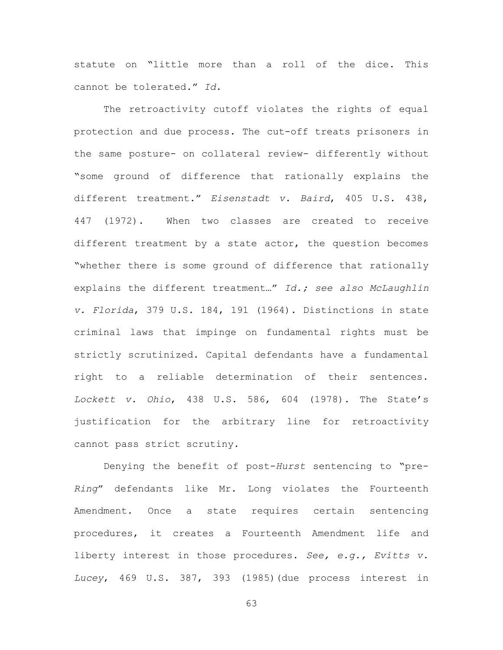statute on "little more than a roll of the dice. This cannot be tolerated." *Id*.

The retroactivity cutoff violates the rights of equal protection and due process. The cut-off treats prisoners in the same posture- on collateral review- differently without "some ground of difference that rationally explains the different treatment." *Eisenstadt v. Baird*, 405 U.S. 438, 447 (1972). When two classes are created to receive different treatment by a state actor, the question becomes "whether there is some ground of difference that rationally explains the different treatment…" *Id.; see also McLaughlin v. Florida*, 379 U.S. 184, 191 (1964). Distinctions in state criminal laws that impinge on fundamental rights must be strictly scrutinized. Capital defendants have a fundamental right to a reliable determination of their sentences. *Lockett v. Ohio*, 438 U.S. 586, 604 (1978). The State's justification for the arbitrary line for retroactivity cannot pass strict scrutiny.

Denying the benefit of post-*Hurst* sentencing to "pre-*Ring*" defendants like Mr. Long violates the Fourteenth Amendment. Once a state requires certain sentencing procedures, it creates a Fourteenth Amendment life and liberty interest in those procedures. *See, e.g., Evitts v. Lucey*, 469 U.S. 387, 393 (1985)(due process interest in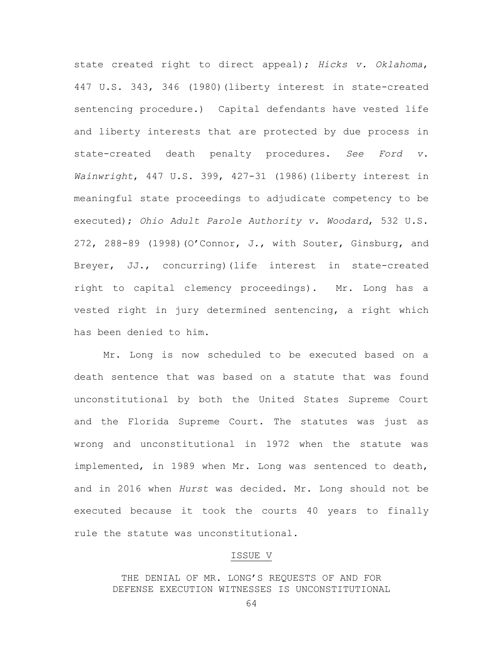state created right to direct appeal); *Hicks v. Oklahoma*, 447 U.S. 343, 346 (1980)(liberty interest in state-created sentencing procedure.) Capital defendants have vested life and liberty interests that are protected by due process in state-created death penalty procedures. *See Ford v. Wainwright*, 447 U.S. 399, 427-31 (1986)(liberty interest in meaningful state proceedings to adjudicate competency to be executed); *Ohio Adult Parole Authority v. Woodard*, 532 U.S. 272, 288-89 (1998)(O'Connor, J., with Souter, Ginsburg, and Breyer, JJ., concurring)(life interest in state-created right to capital clemency proceedings). Mr. Long has a vested right in jury determined sentencing, a right which has been denied to him.

Mr. Long is now scheduled to be executed based on a death sentence that was based on a statute that was found unconstitutional by both the United States Supreme Court and the Florida Supreme Court. The statutes was just as wrong and unconstitutional in 1972 when the statute was implemented, in 1989 when Mr. Long was sentenced to death, and in 2016 when *Hurst* was decided. Mr. Long should not be executed because it took the courts 40 years to finally rule the statute was unconstitutional.

#### ISSUE V

THE DENIAL OF MR. LONG'S REQUESTS OF AND FOR DEFENSE EXECUTION WITNESSES IS UNCONSTITUTIONAL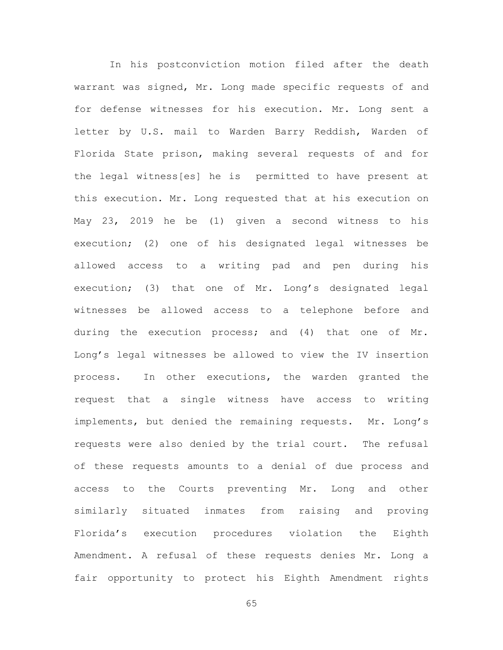In his postconviction motion filed after the death warrant was signed, Mr. Long made specific requests of and for defense witnesses for his execution. Mr. Long sent a letter by U.S. mail to Warden Barry Reddish, Warden of Florida State prison, making several requests of and for the legal witness[es] he is permitted to have present at this execution. Mr. Long requested that at his execution on May 23, 2019 he be (1) given a second witness to his execution; (2) one of his designated legal witnesses be allowed access to a writing pad and pen during his execution; (3) that one of Mr. Long's designated legal witnesses be allowed access to a telephone before and during the execution process; and (4) that one of Mr. Long's legal witnesses be allowed to view the IV insertion process. In other executions, the warden granted the request that a single witness have access to writing implements, but denied the remaining requests. Mr. Long's requests were also denied by the trial court. The refusal of these requests amounts to a denial of due process and access to the Courts preventing Mr. Long and other similarly situated inmates from raising and proving Florida's execution procedures violation the Eighth Amendment. A refusal of these requests denies Mr. Long a fair opportunity to protect his Eighth Amendment rights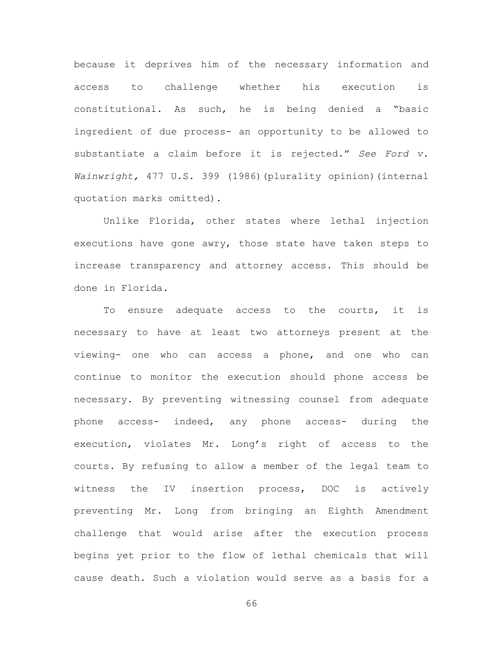because it deprives him of the necessary information and access to challenge whether his execution is constitutional. As such, he is being denied a "basic ingredient of due process- an opportunity to be allowed to substantiate a claim before it is rejected." *See Ford v. Wainwright,* 477 U.S. 399 (1986)(plurality opinion)(internal quotation marks omitted).

Unlike Florida, other states where lethal injection executions have gone awry, those state have taken steps to increase transparency and attorney access. This should be done in Florida.

To ensure adequate access to the courts, it is necessary to have at least two attorneys present at the viewing- one who can access a phone, and one who can continue to monitor the execution should phone access be necessary. By preventing witnessing counsel from adequate phone access- indeed, any phone access- during the execution, violates Mr. Long's right of access to the courts. By refusing to allow a member of the legal team to witness the IV insertion process, DOC is actively preventing Mr. Long from bringing an Eighth Amendment challenge that would arise after the execution process begins yet prior to the flow of lethal chemicals that will cause death. Such a violation would serve as a basis for a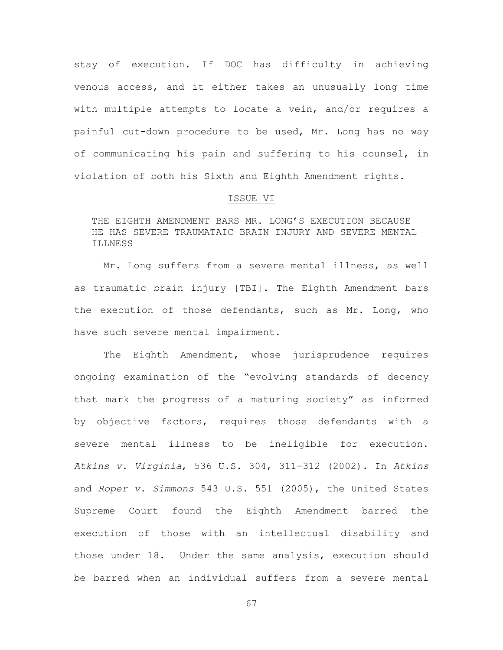stay of execution. If DOC has difficulty in achieving venous access, and it either takes an unusually long time with multiple attempts to locate a vein, and/or requires a painful cut-down procedure to be used, Mr. Long has no way of communicating his pain and suffering to his counsel, in violation of both his Sixth and Eighth Amendment rights.

## ISSUE VI

THE EIGHTH AMENDMENT BARS MR. LONG'S EXECUTION BECAUSE HE HAS SEVERE TRAUMATAIC BRAIN INJURY AND SEVERE MENTAL ILLNESS

Mr. Long suffers from a severe mental illness, as well as traumatic brain injury [TBI]. The Eighth Amendment bars the execution of those defendants, such as Mr. Long, who have such severe mental impairment.

The Eighth Amendment, whose jurisprudence requires ongoing examination of the "evolving standards of decency that mark the progress of a maturing society" as informed by objective factors, requires those defendants with a severe mental illness to be ineligible for execution. *Atkins v. Virginia*, 536 U.S. 304, 311-312 (2002). In *Atkins* and *Roper v. Simmons* 543 U.S. 551 (2005), the United States Supreme Court found the Eighth Amendment barred the execution of those with an intellectual disability and those under 18. Under the same analysis, execution should be barred when an individual suffers from a severe mental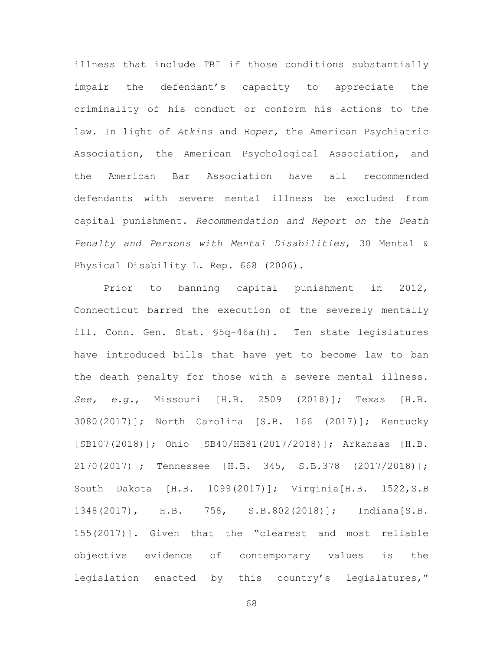illness that include TBI if those conditions substantially impair the defendant's capacity to appreciate the criminality of his conduct or conform his actions to the law. In light of *Atkins* and *Roper,* the American Psychiatric Association, the American Psychological Association, and the American Bar Association have all recommended defendants with severe mental illness be excluded from capital punishment. *Recommendation and Report on the Death Penalty and Persons with Mental Disabilities*, 30 Mental & Physical Disability L. Rep. 668 (2006).

Prior to banning capital punishment in 2012, Connecticut barred the execution of the severely mentally ill. Conn. Gen. Stat. §5q-46a(h). Ten state legislatures have introduced bills that have yet to become law to ban the death penalty for those with a severe mental illness. *See, e.g.*, Missouri [H.B. 2509 (2018)]; Texas [H.B. 3080(2017)]; North Carolina [S.B. 166 (2017)]; Kentucky [SB107(2018)]; Ohio [SB40/HB81(2017/2018)]; Arkansas [H.B. 2170(2017)]; Tennessee [H.B. 345, S.B.378 (2017/2018)]; South Dakota [H.B. 1099(2017)]; Virginia[H.B. 1522,S.B 1348(2017), H.B. 758, S.B.802(2018)]; Indiana[S.B. 155(2017)]. Given that the "clearest and most reliable objective evidence of contemporary values is the legislation enacted by this country's legislatures,"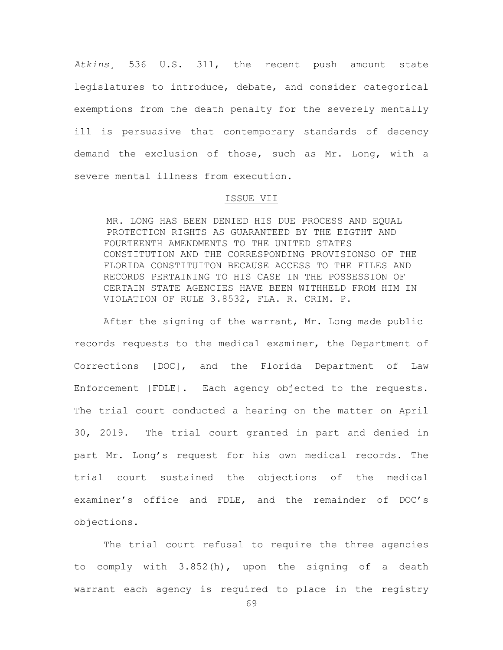*Atkins¸* 536 U.S. 311, the recent push amount state legislatures to introduce, debate, and consider categorical exemptions from the death penalty for the severely mentally ill is persuasive that contemporary standards of decency demand the exclusion of those, such as Mr. Long, with a severe mental illness from execution.

## ISSUE VII

MR. LONG HAS BEEN DENIED HIS DUE PROCESS AND EQUAL PROTECTION RIGHTS AS GUARANTEED BY THE EIGTHT AND FOURTEENTH AMENDMENTS TO THE UNITED STATES CONSTITUTION AND THE CORRESPONDING PROVISIONSO OF THE FLORIDA CONSTITUITON BECAUSE ACCESS TO THE FILES AND RECORDS PERTAINING TO HIS CASE IN THE POSSESSION OF CERTAIN STATE AGENCIES HAVE BEEN WITHHELD FROM HIM IN VIOLATION OF RULE 3.8532, FLA. R. CRIM. P.

After the signing of the warrant, Mr. Long made public records requests to the medical examiner, the Department of Corrections [DOC], and the Florida Department of Law Enforcement [FDLE]. Each agency objected to the requests. The trial court conducted a hearing on the matter on April 30, 2019. The trial court granted in part and denied in part Mr. Long's request for his own medical records. The trial court sustained the objections of the medical examiner's office and FDLE, and the remainder of DOC's objections.

The trial court refusal to require the three agencies to comply with 3.852(h), upon the signing of a death warrant each agency is required to place in the registry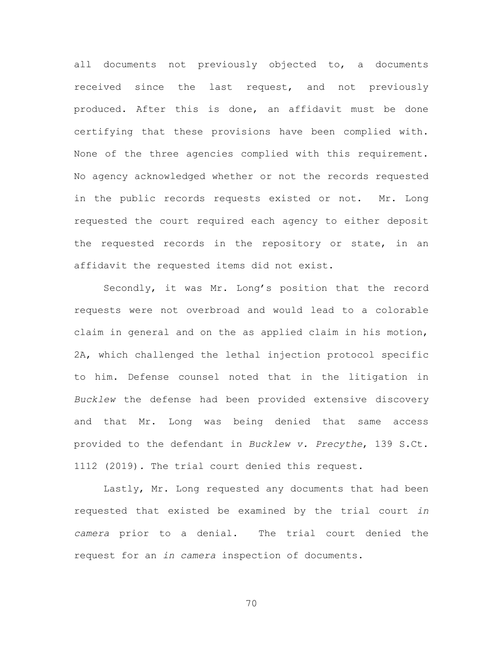all documents not previously objected to, a documents received since the last request, and not previously produced. After this is done, an affidavit must be done certifying that these provisions have been complied with. None of the three agencies complied with this requirement. No agency acknowledged whether or not the records requested in the public records requests existed or not. Mr. Long requested the court required each agency to either deposit the requested records in the repository or state, in an affidavit the requested items did not exist.

Secondly, it was Mr. Long's position that the record requests were not overbroad and would lead to a colorable claim in general and on the as applied claim in his motion, 2A, which challenged the lethal injection protocol specific to him. Defense counsel noted that in the litigation in *Bucklew* the defense had been provided extensive discovery and that Mr. Long was being denied that same access provided to the defendant in *Bucklew v. Precythe*, 139 S.Ct. 1112 (2019)*.* The trial court denied this request.

Lastly, Mr. Long requested any documents that had been requested that existed be examined by the trial court *in camera* prior to a denial. The trial court denied the request for an *in camera* inspection of documents.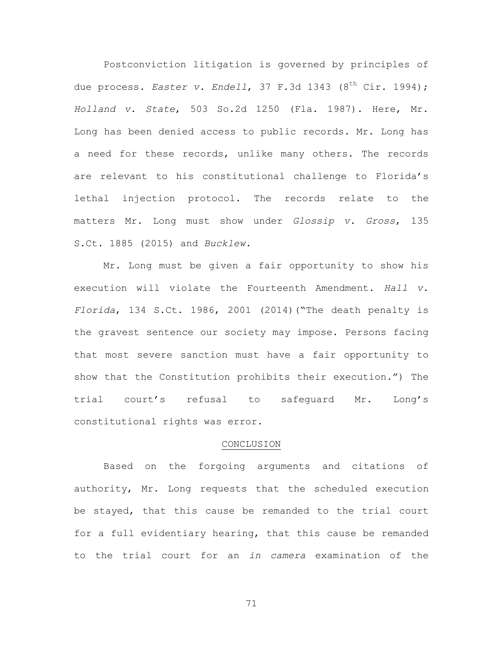Postconviction litigation is governed by principles of due process. *Easter v. Endell*, 37 F.3d 1343 (8<sup>th</sup> Cir. 1994); *Holland v. State*, 503 So.2d 1250 (Fla. 1987). Here, Mr. Long has been denied access to public records. Mr. Long has a need for these records, unlike many others. The records are relevant to his constitutional challenge to Florida's lethal injection protocol. The records relate to the matters Mr. Long must show under *Glossip v. Gross*, 135 S.Ct. 1885 (2015) and *Bucklew.*

Mr. Long must be given a fair opportunity to show his execution will violate the Fourteenth Amendment. *Hall v. Florida*, 134 S.Ct. 1986, 2001 (2014)("The death penalty is the gravest sentence our society may impose. Persons facing that most severe sanction must have a fair opportunity to show that the Constitution prohibits their execution.") The trial court's refusal to safeguard Mr. Long's constitutional rights was error.

#### CONCLUSION

Based on the forgoing arguments and citations of authority, Mr. Long requests that the scheduled execution be stayed, that this cause be remanded to the trial court for a full evidentiary hearing, that this cause be remanded to the trial court for an *in camera* examination of the